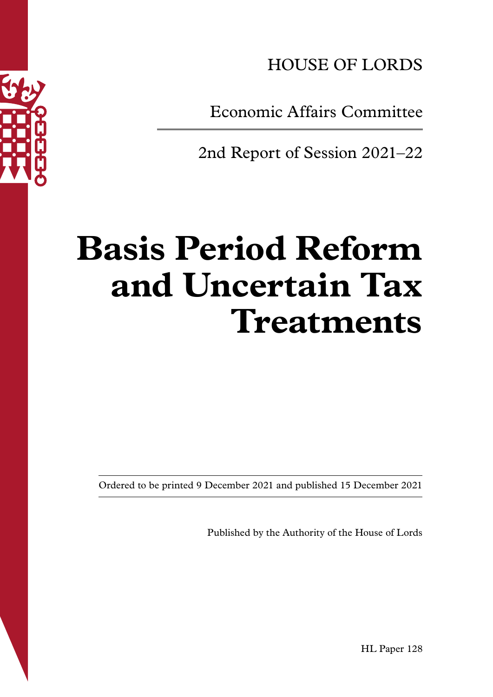

HOUSE OF LORDS

Economic Affairs Committee

2nd Report of Session 2021–22

# **Basis Period Reform and Uncertain Tax Treatments**

Ordered to be printed 9 December 2021 and published 15 December 2021

Published by the Authority of the House of Lords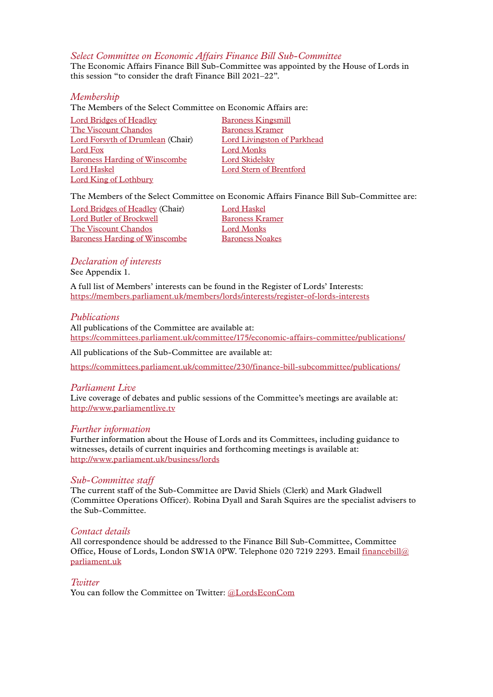#### *Select Committee on Economic Affairs Finance Bill Sub-Committee*

The Economic Affairs Finance Bill Sub-Committee was appointed by the House of Lords in this session "to consider the draft Finance Bill 2021–22".

#### *Membership*

The Members of the Select Committee on Economic Affairs are:

Lord [Bridges of Headley](https://members.parliament.uk/member/4535/contact) Baroness [Kingsmill](https://members.parliament.uk/member/3788/contact) [The Viscount](https://members.parliament.uk/member/3308/contact) Chandos [Baroness](https://members.parliament.uk/member/1557/contact) Kramer Lord [Forsyth of Drumlean](https://members.parliament.uk/member/1141/contact) (Chair) Lord [Livingston of Parkhead](https://members.parliament.uk/member/4278/contact) [Lord](https://members.parliament.uk/member/4322/contact) Fox Lord [Monks](https://members.parliament.uk/member/4186/contact) Baroness [Harding of Winscombe](https://members.parliament.uk/member/4324/contact) Lord [Skidelsky](https://members.parliament.uk/member/3120/contact) Lord [Haskel](https://members.parliament.uk/member/2665/contact) Lord [Stern of Brentford](https://members.parliament.uk/member/3846/contact) Lord [King of Lothbury](https://members.parliament.uk/member/4280/contact)

The Members of the Select Committee on Economic Affairs Finance Bill Sub-Committee are:

Lord [Bridges of Headley](https://members.parliament.uk/member/4535/contact) (Chair) Lord [Haskel](https://members.parliament.uk/member/2665/contact) **Lord [Butler of Brockwell](https://members.parliament.uk/member/3337/contact) [Baroness](https://members.parliament.uk/member/1557/contact) Kramer** [The Viscount](https://members.parliament.uk/member/3308/contact) Chandos **Lord [Monks](https://members.parliament.uk/member/4186/contact) Baroness [Harding of Winscombe](https://members.parliament.uk/member/4324/contact)** [Baroness](https://members.parliament.uk/member/2554/contact) Noakes

#### *Declaration of interests* See Appendix 1.

A full list of Members' interests can be found in the Register of Lords' Interests: <https://members.parliament.uk/members/lords/interests/register-of-lords-interests>

#### *Publications*

All publications of the Committee are available at: <https://committees.parliament.uk/committee/175/economic-affairs-committee/publications/>

All publications of the Sub-Committee are available at:

<https://committees.parliament.uk/committee/230/finance-bill-subcommittee/publications/>

#### *Parliament Live*

Live coverage of debates and public sessions of the Committee's meetings are available at: <http://www.parliamentlive.tv>

#### *Further information*

Further information about the House of Lords and its Committees, including guidance to witnesses, details of current inquiries and forthcoming meetings is available at: <http://www.parliament.uk/business/lords>

#### *Sub-Committee staff*

The current staff of the Sub-Committee are David Shiels (Clerk) and Mark Gladwell (Committee Operations Officer). Robina Dyall and Sarah Squires are the specialist advisers to the Sub-Committee.

#### *Contact details*

All correspondence should be addressed to the Finance Bill Sub-Committee, Committee Office, House of Lords, London SW1A 0PW. Telephone 020 7219 2293. Email [financebill@](mailto:financebill@parliament.uk) [parliament.uk](mailto:financebill@parliament.uk)

#### *Twitter*

You can follow the Committee on Twitter: [@L](http://www.twitter.com/handle)ordsEconCom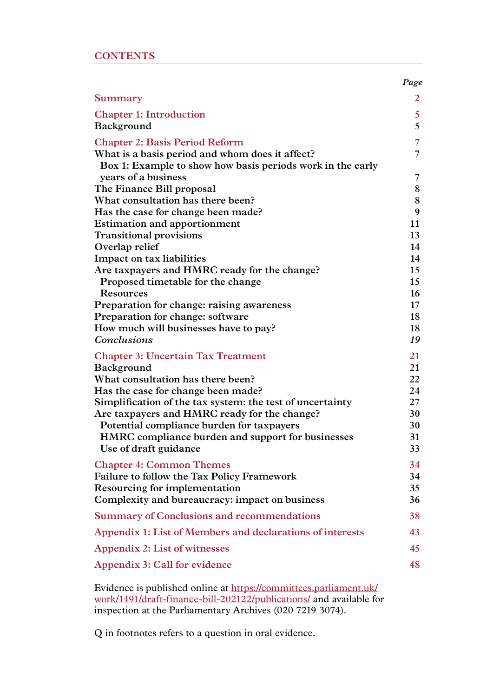|                                                                                                               | Page           |
|---------------------------------------------------------------------------------------------------------------|----------------|
| Summary                                                                                                       | 2              |
| <b>Chapter 1: Introduction</b>                                                                                | 5 <sup>5</sup> |
| Background                                                                                                    | 5              |
| <b>Chapter 2: Basis Period Reform</b>                                                                         | $\overline{7}$ |
| What is a basis period and whom does it affect?<br>Box 1: Example to show how basis periods work in the early | 7              |
| years of a business                                                                                           | 7              |
| The Finance Bill proposal                                                                                     | $8\,$          |
| What consultation has there been?                                                                             | 8              |
| Has the case for change been made?                                                                            | 9              |
| <b>Estimation and apportionment</b>                                                                           | 11             |
| <b>Transitional provisions</b>                                                                                | 13             |
| Overlap relief                                                                                                | 14             |
| Impact on tax liabilities                                                                                     | 14             |
| Are taxpayers and HMRC ready for the change?                                                                  | 15             |
| Proposed timetable for the change<br><b>Resources</b>                                                         | 15<br>16       |
| Preparation for change: raising awareness                                                                     | $17 \,$        |
| Preparation for change: software                                                                              | 18             |
| How much will businesses have to pay?                                                                         | 18             |
| <b>Conclusions</b>                                                                                            | 19             |
| <b>Chapter 3: Uncertain Tax Treatment</b>                                                                     | 21             |
| <b>Background</b>                                                                                             | 21             |
| What consultation has there been?                                                                             | 22             |
| Has the case for change been made?                                                                            | 24             |
| Simplification of the tax system: the test of uncertainty                                                     | 27             |
| Are taxpayers and HMRC ready for the change?                                                                  | 30             |
| Potential compliance burden for taxpayers                                                                     | 30             |
| HMRC compliance burden and support for businesses<br>Use of draft guidance                                    | 31<br>33       |
| <b>Chapter 4: Common Themes</b>                                                                               | 34             |
| Failure to follow the Tax Policy Framework                                                                    | 34             |
| Resourcing for implementation                                                                                 | 35             |
| Complexity and bureaucracy: impact on business                                                                | 36             |
| <b>Summary of Conclusions and recommendations</b>                                                             | 38             |
| Appendix 1: List of Members and declarations of interests                                                     | 43             |
| <b>Appendix 2: List of witnesses</b>                                                                          | 45             |
| Appendix 3: Call for evidence                                                                                 | 48             |
|                                                                                                               |                |

Evidence is published online at [https://committees.parliament.uk/](https://committees.parliament.uk/work/1491/draft-finance-bill-202122/publications/) [work/1491/draft-finance-bill-202122/publications/](https://committees.parliament.uk/work/1491/draft-finance-bill-202122/publications/) and available for inspection at the Parliamentary Archives (020 7219 3074).

Q in footnotes refers to a question in oral evidence.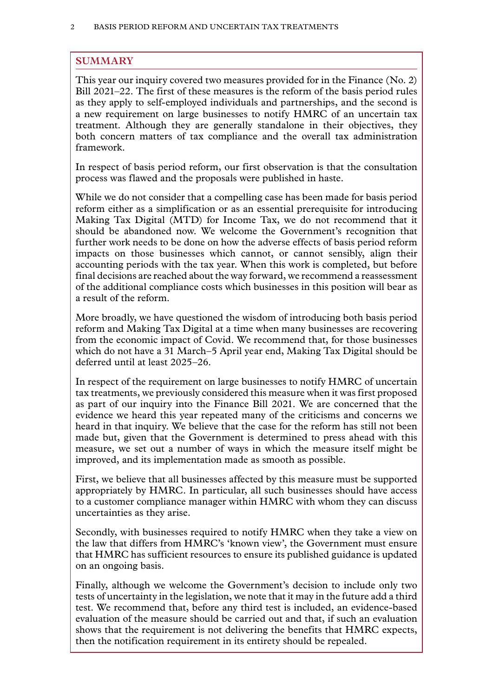# <span id="page-3-0"></span>**SUMMARY**

This year our inquiry covered two measures provided for in the Finance (No. 2) Bill 2021–22. The first of these measures is the reform of the basis period rules as they apply to self-employed individuals and partnerships, and the second is a new requirement on large businesses to notify HMRC of an uncertain tax treatment. Although they are generally standalone in their objectives, they both concern matters of tax compliance and the overall tax administration framework.

In respect of basis period reform, our first observation is that the consultation process was flawed and the proposals were published in haste.

While we do not consider that a compelling case has been made for basis period reform either as a simplification or as an essential prerequisite for introducing Making Tax Digital (MTD) for Income Tax, we do not recommend that it should be abandoned now. We welcome the Government's recognition that further work needs to be done on how the adverse effects of basis period reform impacts on those businesses which cannot, or cannot sensibly, align their accounting periods with the tax year. When this work is completed, but before final decisions are reached about the way forward, we recommend a reassessment of the additional compliance costs which businesses in this position will bear as a result of the reform.

More broadly, we have questioned the wisdom of introducing both basis period reform and Making Tax Digital at a time when many businesses are recovering from the economic impact of Covid. We recommend that, for those businesses which do not have a 31 March–5 April year end, Making Tax Digital should be deferred until at least 2025–26.

In respect of the requirement on large businesses to notify HMRC of uncertain tax treatments, we previously considered this measure when it was first proposed as part of our inquiry into the Finance Bill 2021. We are concerned that the evidence we heard this year repeated many of the criticisms and concerns we heard in that inquiry. We believe that the case for the reform has still not been made but, given that the Government is determined to press ahead with this measure, we set out a number of ways in which the measure itself might be improved, and its implementation made as smooth as possible.

First, we believe that all businesses affected by this measure must be supported appropriately by HMRC. In particular, all such businesses should have access to a customer compliance manager within HMRC with whom they can discuss uncertainties as they arise.

Secondly, with businesses required to notify HMRC when they take a view on the law that differs from HMRC's 'known view', the Government must ensure that HMRC has sufficient resources to ensure its published guidance is updated on an ongoing basis.

Finally, although we welcome the Government's decision to include only two tests of uncertainty in the legislation, we note that it may in the future add a third test. We recommend that, before any third test is included, an evidence-based evaluation of the measure should be carried out and that, if such an evaluation shows that the requirement is not delivering the benefits that HMRC expects, then the notification requirement in its entirety should be repealed.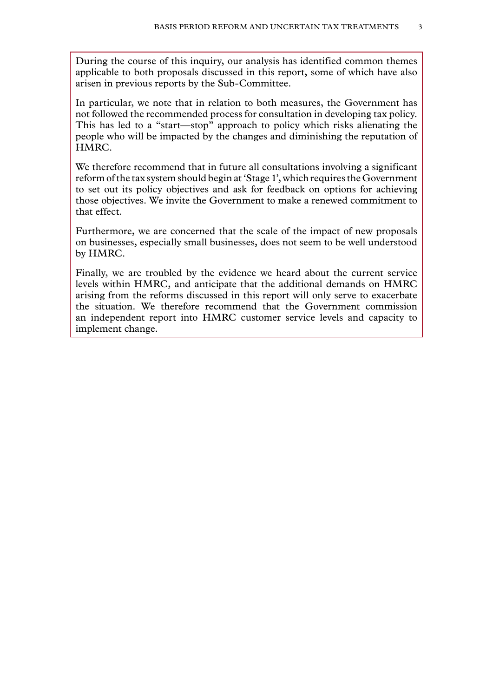During the course of this inquiry, our analysis has identified common themes applicable to both proposals discussed in this report, some of which have also arisen in previous reports by the Sub-Committee.

In particular, we note that in relation to both measures, the Government has not followed the recommended process for consultation in developing tax policy. This has led to a "start—stop" approach to policy which risks alienating the people who will be impacted by the changes and diminishing the reputation of HMRC.

We therefore recommend that in future all consultations involving a significant reform of the tax system should begin at 'Stage 1', which requires the Government to set out its policy objectives and ask for feedback on options for achieving those objectives. We invite the Government to make a renewed commitment to that effect.

Furthermore, we are concerned that the scale of the impact of new proposals on businesses, especially small businesses, does not seem to be well understood by HMRC.

Finally, we are troubled by the evidence we heard about the current service levels within HMRC, and anticipate that the additional demands on HMRC arising from the reforms discussed in this report will only serve to exacerbate the situation. We therefore recommend that the Government commission an independent report into HMRC customer service levels and capacity to implement change.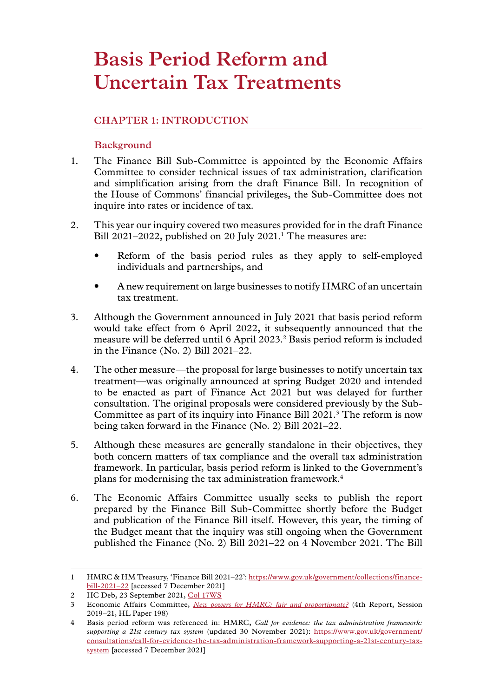# <span id="page-6-0"></span>**Basis Period Reform and Uncertain Tax Treatments**

# **Chapter 1: INTRODUCTION**

# **Background**

- 1. The Finance Bill Sub-Committee is appointed by the Economic Affairs Committee to consider technical issues of tax administration, clarification and simplification arising from the draft Finance Bill. In recognition of the House of Commons' financial privileges, the Sub-Committee does not inquire into rates or incidence of tax.
- 2. This year our inquiry covered two measures provided for in the draft Finance Bill  $2021-2022$ , published on  $20$  July  $2021$ .<sup>1</sup> The measures are:
	- Reform of the basis period rules as they apply to self-employed individuals and partnerships, and
	- A new requirement on large businesses to notify HMRC of an uncertain tax treatment.
- 3. Although the Government announced in July 2021 that basis period reform would take effect from 6 April 2022, it subsequently announced that the measure will be deferred until 6 April 2023.2 Basis period reform is included in the Finance (No. 2) Bill 2021–22.
- 4. The other measure—the proposal for large businesses to notify uncertain tax treatment—was originally announced at spring Budget 2020 and intended to be enacted as part of Finance Act 2021 but was delayed for further consultation. The original proposals were considered previously by the Sub-Committee as part of its inquiry into Finance Bill 2021.<sup>3</sup> The reform is now being taken forward in the Finance (No. 2) Bill 2021–22.
- 5. Although these measures are generally standalone in their objectives, they both concern matters of tax compliance and the overall tax administration framework. In particular, basis period reform is linked to the Government's plans for modernising the tax administration framework.4
- 6. The Economic Affairs Committee usually seeks to publish the report prepared by the Finance Bill Sub-Committee shortly before the Budget and publication of the Finance Bill itself. However, this year, the timing of the Budget meant that the inquiry was still ongoing when the Government published the Finance (No. 2) Bill 2021–22 on 4 November 2021. The Bill

<sup>1</sup> HMRC & HM Treasury, 'Finance Bill 2021–22': [https://www.gov.uk/government/collections/finance](https://www.gov.uk/government/collections/finance-bill-2021-22)[bill-2021–22](https://www.gov.uk/government/collections/finance-bill-2021-22) [accessed 7 December 2021]

<sup>2</sup> HC Deb, 23 September 2021, [Col 17WS](https://questions-statements.parliament.uk/written-statements/detail/2021-09-23/hcws308)

<sup>3</sup> Economic Affairs Committee, *[New powers for HMRC: fair and proportionate?](https://publications.parliament.uk/pa/ld5801/ldselect/ldeconaf/198/19802.htm)* (4th Report, Session 2019–21, HL Paper 198)

<sup>4</sup> Basis period reform was referenced in: HMRC, *Call for evidence: the tax administration framework: supporting a 21st century tax system* (updated 30 November 2021): [https://www.gov.uk/government/](https://www.gov.uk/government/consultations/call-for-evidence-the-tax-administration-framework-supporting-a-21st-century-tax-system) [consultations/call-for-evidence-the-tax-administration-framework-supporting-a-21st-century-tax](https://www.gov.uk/government/consultations/call-for-evidence-the-tax-administration-framework-supporting-a-21st-century-tax-system)[system](https://www.gov.uk/government/consultations/call-for-evidence-the-tax-administration-framework-supporting-a-21st-century-tax-system) [accessed 7 December 2021]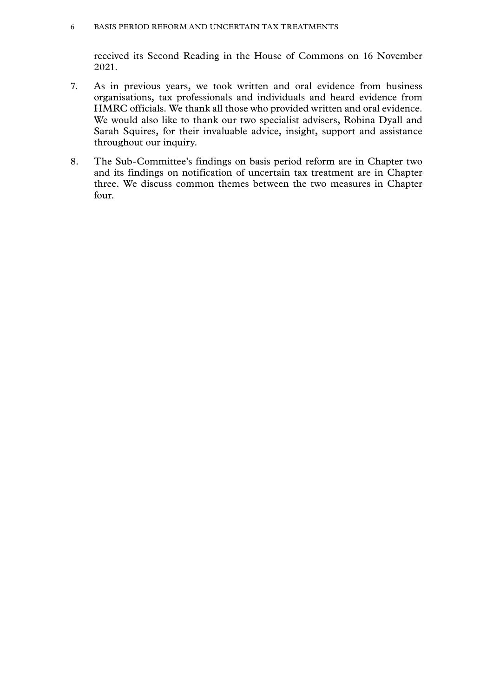#### 6 Basis Period Reform and Uncertain Tax Treatments

received its Second Reading in the House of Commons on 16 November 2021.

- 7. As in previous years, we took written and oral evidence from business organisations, tax professionals and individuals and heard evidence from HMRC officials. We thank all those who provided written and oral evidence. We would also like to thank our two specialist advisers, Robina Dyall and Sarah Squires, for their invaluable advice, insight, support and assistance throughout our inquiry.
- 8. The Sub-Committee's findings on basis period reform are in Chapter two and its findings on notification of uncertain tax treatment are in Chapter three. We discuss common themes between the two measures in Chapter four.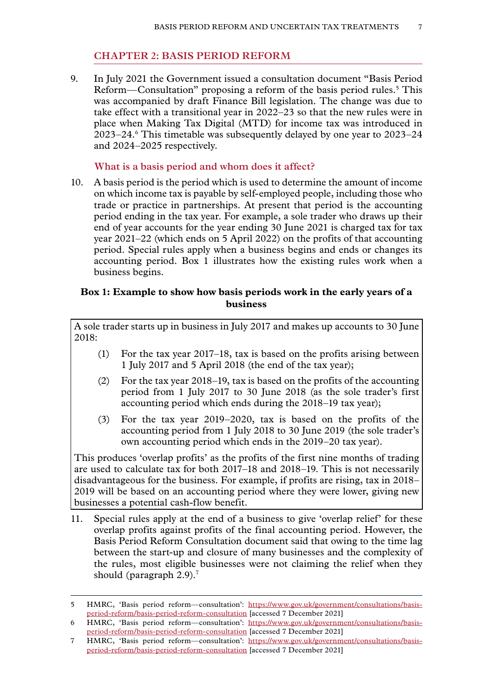# **Chapter 2: BASIS PERIOD REFORM**

<span id="page-8-0"></span>9. In July 2021 the Government issued a consultation document "Basis Period Reform—Consultation" proposing a reform of the basis period rules.<sup>5</sup> This was accompanied by draft Finance Bill legislation. The change was due to take effect with a transitional year in 2022–23 so that the new rules were in place when Making Tax Digital (MTD) for income tax was introduced in 2023–24.6 This timetable was subsequently delayed by one year to 2023–24 and 2024–2025 respectively.

#### **What is a basis period and whom does it affect?**

10. A basis period is the period which is used to determine the amount of income on which income tax is payable by self-employed people, including those who trade or practice in partnerships. At present that period is the accounting period ending in the tax year. For example, a sole trader who draws up their end of year accounts for the year ending 30 June 2021 is charged tax for tax year 2021–22 (which ends on 5 April 2022) on the profits of that accounting period. Special rules apply when a business begins and ends or changes its accounting period. Box 1 illustrates how the existing rules work when a business begins.

# **Box 1: Example to show how basis periods work in the early years of a business**

A sole trader starts up in business in July 2017 and makes up accounts to 30 June 2018:

- (1) For the tax year 2017–18, tax is based on the profits arising between 1 July 2017 and 5 April 2018 (the end of the tax year);
- (2) For the tax year 2018–19, tax is based on the profits of the accounting period from 1 July 2017 to 30 June 2018 (as the sole trader's first accounting period which ends during the 2018–19 tax year);
- (3) For the tax year 2019–2020, tax is based on the profits of the accounting period from 1 July 2018 to 30 June 2019 (the sole trader's own accounting period which ends in the 2019–20 tax year).

This produces 'overlap profits' as the profits of the first nine months of trading are used to calculate tax for both 2017–18 and 2018–19. This is not necessarily disadvantageous for the business. For example, if profits are rising, tax in 2018– 2019 will be based on an accounting period where they were lower, giving new businesses a potential cash-flow benefit.

11. Special rules apply at the end of a business to give 'overlap relief' for these overlap profits against profits of the final accounting period. However, the Basis Period Reform Consultation document said that owing to the time lag between the start-up and closure of many businesses and the complexity of the rules, most eligible businesses were not claiming the relief when they should (paragraph 2.9).<sup>7</sup>

<sup>5</sup> HMRC, 'Basis period reform—consultation': [https://www.gov.uk/government/consultations/basis](https://www.gov.uk/government/consultations/basis-period-reform/basis-period-reform-consultation)[period-reform/basis-period-reform-consultation](https://www.gov.uk/government/consultations/basis-period-reform/basis-period-reform-consultation) [accessed 7 December 2021]

<sup>6</sup> HMRC, 'Basis period reform—consultation': [https://www.gov.uk/government/consultations/basis](https://www.gov.uk/government/consultations/basis-period-reform/basis-period-reform-consultation)[period-reform/basis-period-reform-consultation](https://www.gov.uk/government/consultations/basis-period-reform/basis-period-reform-consultation) [accessed 7 December 2021]

<sup>7</sup> HMRC, 'Basis period reform—consultation': [https://www.gov.uk/government/consultations/basis](https://www.gov.uk/government/consultations/basis-period-reform/basis-period-reform-consultation)[period-reform/basis-period-reform-consultation](https://www.gov.uk/government/consultations/basis-period-reform/basis-period-reform-consultation) [accessed 7 December 2021]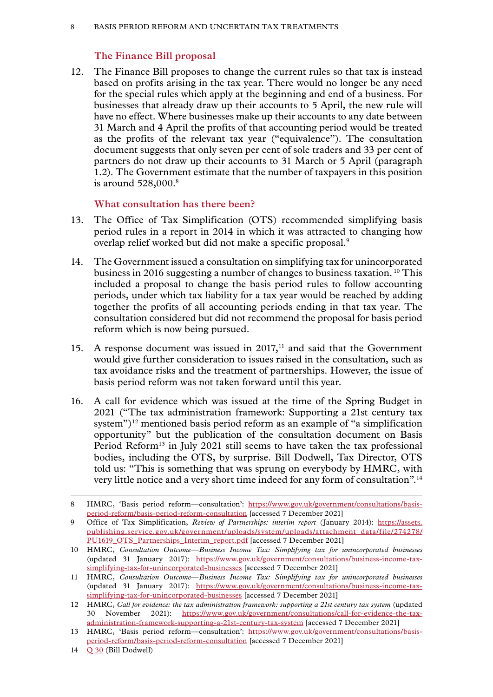# **The Finance Bill proposal**

<span id="page-9-0"></span>12. The Finance Bill proposes to change the current rules so that tax is instead based on profits arising in the tax year. There would no longer be any need for the special rules which apply at the beginning and end of a business. For businesses that already draw up their accounts to 5 April, the new rule will have no effect. Where businesses make up their accounts to any date between 31 March and 4 April the profits of that accounting period would be treated as the profits of the relevant tax year ("equivalence"). The consultation document suggests that only seven per cent of sole traders and 33 per cent of partners do not draw up their accounts to 31 March or 5 April (paragraph 1.2). The Government estimate that the number of taxpayers in this position is around  $528,000$ .<sup>8</sup>

# **What consultation has there been?**

- 13. The Office of Tax Simplification (OTS) recommended simplifying basis period rules in a report in 2014 in which it was attracted to changing how overlap relief worked but did not make a specific proposal.9
- 14. The Government issued a consultation on simplifying tax for unincorporated business in 2016 suggesting a number of changes to business taxation. 10 This included a proposal to change the basis period rules to follow accounting periods, under which tax liability for a tax year would be reached by adding together the profits of all accounting periods ending in that tax year. The consultation considered but did not recommend the proposal for basis period reform which is now being pursued.
- 15. A response document was issued in  $2017$ ,<sup>11</sup> and said that the Government would give further consideration to issues raised in the consultation, such as tax avoidance risks and the treatment of partnerships. However, the issue of basis period reform was not taken forward until this year.
- 16. A call for evidence which was issued at the time of the Spring Budget in 2021 ("The tax administration framework: Supporting a 21st century tax system")<sup>12</sup> mentioned basis period reform as an example of "a simplification" opportunity" but the publication of the consultation document on Basis Period Reform<sup>13</sup> in July 2021 still seems to have taken the tax professional bodies, including the OTS, by surprise. Bill Dodwell, Tax Director, OTS told us: "This is something that was sprung on everybody by HMRC, with very little notice and a very short time indeed for any form of consultation".14

<sup>8</sup> HMRC, 'Basis period reform—consultation': [https://www.gov.uk/government/consultations/basis](https://www.gov.uk/government/consultations/basis-period-reform/basis-period-reform-consultation)[period-reform/basis-period-reform-consultation](https://www.gov.uk/government/consultations/basis-period-reform/basis-period-reform-consultation) [accessed 7 December 2021]

<sup>9</sup> Office of Tax Simplification, *Review of Partnerships: interim report* (January 2014): [https://assets.](https://assets.publishing.service.gov.uk/government/uploads/system/uploads/attachment_data/file/274278/PU1619_OTS_Partnerships_Interim_report.pdf) [publishing.service.gov.uk/government/uploads/system/uploads/attachment\\_data/file/274278/](https://assets.publishing.service.gov.uk/government/uploads/system/uploads/attachment_data/file/274278/PU1619_OTS_Partnerships_Interim_report.pdf) [PU1619\\_OTS\\_Partnerships\\_Interim\\_report.pdf](https://assets.publishing.service.gov.uk/government/uploads/system/uploads/attachment_data/file/274278/PU1619_OTS_Partnerships_Interim_report.pdf) [accessed 7 December 2021]

<sup>10</sup> HMRC, *Consultation Outcome—Business Income Tax: Simplifying tax for unincorporated businesses* (updated 31 January 2017): [https://www.gov.uk/government/consultations/business-income-tax](https://www.gov.uk/government/consultations/business-income-tax-simplifying-tax-for-unincorporated-businesses)[simplifying-tax-for-unincorporated-businesses](https://www.gov.uk/government/consultations/business-income-tax-simplifying-tax-for-unincorporated-businesses) [accessed 7 December 2021]

<sup>11</sup> HMRC, *Consultation Outcome—Business Income Tax: Simplifying tax for unincorporated businesses* (updated 31 January 2017): [https://www.gov.uk/government/consultations/business-income-tax](https://www.gov.uk/government/consultations/business-income-tax-simplifying-tax-for-unincorporated-businesses)[simplifying-tax-for-unincorporated-businesses](https://www.gov.uk/government/consultations/business-income-tax-simplifying-tax-for-unincorporated-businesses) [accessed 7 December 2021]

<sup>12</sup> HMRC, *Call for evidence: the tax administration framework: supporting a 21st century tax system* (updated 30 November 2021): [https://www.gov.uk/government/consultations/call-for-evidence-the-tax](https://www.gov.uk/government/consultations/call-for-evidence-the-tax-administration-framework-supporting-a-21st-century-tax-system)[administration-framework-supporting-a-21st-century-tax-system](https://www.gov.uk/government/consultations/call-for-evidence-the-tax-administration-framework-supporting-a-21st-century-tax-system) [accessed 7 December 2021]

<sup>13</sup> HMRC, 'Basis period reform—consultation': [https://www.gov.uk/government/consultations/basis](https://www.gov.uk/government/consultations/basis-period-reform/basis-period-reform-consultation)[period-reform/basis-period-reform-consultation](https://www.gov.uk/government/consultations/basis-period-reform/basis-period-reform-consultation) [accessed 7 December 2021]

<sup>14</sup> [Q 30](https://committees.parliament.uk/oralevidence/2871/html/) (Bill Dodwell)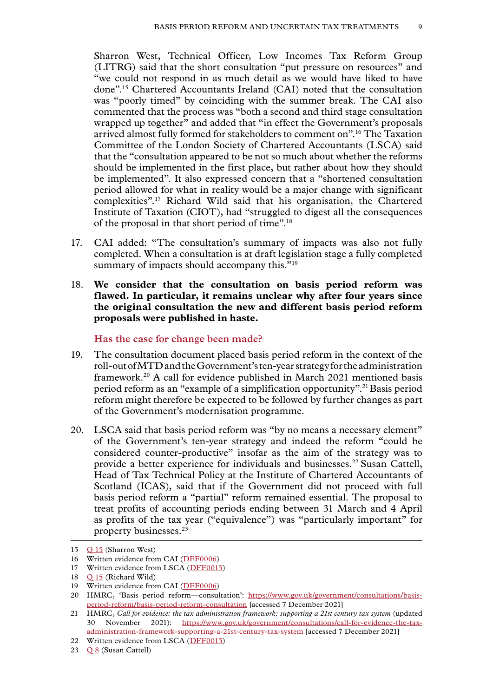<span id="page-10-0"></span>Sharron West, Technical Officer, Low Incomes Tax Reform Group (LITRG) said that the short consultation "put pressure on resources" and "we could not respond in as much detail as we would have liked to have done".15 Chartered Accountants Ireland (CAI) noted that the consultation was "poorly timed" by coinciding with the summer break. The CAI also commented that the process was "both a second and third stage consultation wrapped up together" and added that "in effect the Government's proposals arrived almost fully formed for stakeholders to comment on".16 The Taxation Committee of the London Society of Chartered Accountants (LSCA) said that the "consultation appeared to be not so much about whether the reforms should be implemented in the first place, but rather about how they should be implemented". It also expressed concern that a "shortened consultation period allowed for what in reality would be a major change with significant complexities".17 Richard Wild said that his organisation, the Chartered Institute of Taxation (CIOT), had "struggled to digest all the consequences of the proposal in that short period of time".18

- 17. CAI added: "The consultation's summary of impacts was also not fully completed. When a consultation is at draft legislation stage a fully completed summary of impacts should accompany this."<sup>19</sup>
- 18. **We consider that the consultation on basis period reform was flawed. In particular, it remains unclear why after four years since the original consultation the new and different basis period reform proposals were published in haste.**

#### **Has the case for change been made?**

- 19. The consultation document placed basis period reform in the context of the roll-out of MTD and the Government's ten-year strategy for the administration framework.20 A call for evidence published in March 2021 mentioned basis period reform as an "example of a simplification opportunity".21Basis period reform might therefore be expected to be followed by further changes as part of the Government's modernisation programme.
- 20. LSCA said that basis period reform was "by no means a necessary element" of the Government's ten-year strategy and indeed the reform "could be considered counter-productive" insofar as the aim of the strategy was to provide a better experience for individuals and businesses.<sup>22</sup> Susan Cattell, Head of Tax Technical Policy at the Institute of Chartered Accountants of Scotland (ICAS), said that if the Government did not proceed with full basis period reform a "partial" reform remained essential. The proposal to treat profits of accounting periods ending between 31 March and 4 April as profits of the tax year ("equivalence") was "particularly important" for property businesses.23

<sup>15</sup> [Q 15](https://committees.parliament.uk/oralevidence/2803/html/) (Sharron West)

<sup>16</sup> Written evidence from CAI ([DFF0006\)](https://committees.parliament.uk/writtenevidence/39930/html/)

<sup>17</sup> Written evidence from LSCA [\(DFF0015\)](https://committees.parliament.uk/writtenevidence/39975/html/)

<sup>18</sup> [Q 15](https://committees.parliament.uk/oralevidence/2803/html/) (Richard Wild)

<sup>19</sup> Written evidence from CAI ([DFF0006\)](https://committees.parliament.uk/writtenevidence/39930/html/)

<sup>20</sup> HMRC, 'Basis period reform-consultation': [https://www.gov.uk/government/consultations/basis](https://www.gov.uk/government/consultations/basis-period-reform/basis-period-reform-consultation)[period-reform/basis-period-reform-consultation](https://www.gov.uk/government/consultations/basis-period-reform/basis-period-reform-consultation) [accessed 7 December 2021]

<sup>21</sup> HMRC, *Call for evidence: the tax administration framework: supporting a 21st century tax system* (updated 30 November 2021): [https://www.gov.uk/government/consultations/call-for-evidence-the-tax](https://www.gov.uk/government/consultations/call-for-evidence-the-tax-administration-framework-supporting-a-21st-century-tax-system)[administration-framework-supporting-a-21st-century-tax-system](https://www.gov.uk/government/consultations/call-for-evidence-the-tax-administration-framework-supporting-a-21st-century-tax-system) [accessed 7 December 2021]

<sup>22</sup> Written evidence from LSCA [\(DFF0015\)](https://committees.parliament.uk/writtenevidence/39975/html/)

<sup>23</sup>  $Q_8$  (Susan Cattell)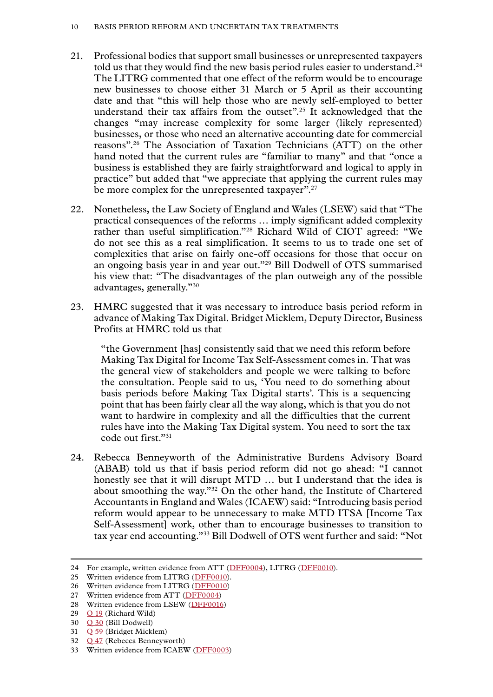- 21. Professional bodies that support small businesses or unrepresented taxpayers told us that they would find the new basis period rules easier to understand.<sup>24</sup> The LITRG commented that one effect of the reform would be to encourage new businesses to choose either 31 March or 5 April as their accounting date and that "this will help those who are newly self-employed to better understand their tax affairs from the outset".<sup>25</sup> It acknowledged that the changes "may increase complexity for some larger (likely represented) businesses, or those who need an alternative accounting date for commercial reasons".26 The Association of Taxation Technicians (ATT) on the other hand noted that the current rules are "familiar to many" and that "once a business is established they are fairly straightforward and logical to apply in practice" but added that "we appreciate that applying the current rules may be more complex for the unrepresented taxpayer".<sup>27</sup>
- 22. Nonetheless, the Law Society of England and Wales (LSEW) said that "The practical consequences of the reforms … imply significant added complexity rather than useful simplification."28 Richard Wild of CIOT agreed: "We do not see this as a real simplification. It seems to us to trade one set of complexities that arise on fairly one-off occasions for those that occur on an ongoing basis year in and year out."29 Bill Dodwell of OTS summarised his view that: "The disadvantages of the plan outweigh any of the possible advantages, generally."30
- 23. HMRC suggested that it was necessary to introduce basis period reform in advance of Making Tax Digital. Bridget Micklem, Deputy Director, Business Profits at HMRC told us that

"the Government [has] consistently said that we need this reform before Making Tax Digital for Income Tax Self-Assessment comes in. That was the general view of stakeholders and people we were talking to before the consultation. People said to us, 'You need to do something about basis periods before Making Tax Digital starts'. This is a sequencing point that has been fairly clear all the way along, which is that you do not want to hardwire in complexity and all the difficulties that the current rules have into the Making Tax Digital system. You need to sort the tax code out first."31

24. Rebecca Benneyworth of the Administrative Burdens Advisory Board (ABAB) told us that if basis period reform did not go ahead: "I cannot honestly see that it will disrupt MTD … but I understand that the idea is about smoothing the way."32 On the other hand, the Institute of Chartered Accountants in England and Wales (ICAEW) said: "Introducing basis period reform would appear to be unnecessary to make MTD ITSA [Income Tax Self-Assessment] work, other than to encourage businesses to transition to tax year end accounting."33 Bill Dodwell of OTS went further and said: "Not

- 32 [Q 47](https://committees.parliament.uk/oralevidence/2872/html/) (Rebecca Benneyworth)
- 33 Written evidence from ICAEW ([DFF0003\)](https://committees.parliament.uk/writtenevidence/39915/html/)

<sup>24</sup> For example, written evidence from ATT ([DFF0004](https://committees.parliament.uk/writtenevidence/39926/html/)), LITRG ([DFF0010\)](https://committees.parliament.uk/writtenevidence/39951/html/).

<sup>25</sup> Written evidence from LITRG ([DFF0010](https://committees.parliament.uk/writtenevidence/39951/html/)).

<sup>26</sup> Written evidence from LITRG ([DFF0010](https://committees.parliament.uk/writtenevidence/39951/html/))

<sup>27</sup> Written evidence from ATT ([DFF0004](https://committees.parliament.uk/writtenevidence/39926/html/))

<sup>28</sup> Written evidence from LSEW ([DFF0016](https://committees.parliament.uk/writtenevidence/40101/html/))

<sup>29</sup> [Q 19](https://committees.parliament.uk/oralevidence/2803/html/) (Richard Wild)

<sup>30</sup> [Q 30](https://committees.parliament.uk/oralevidence/2871/html/) (Bill Dodwell)

<sup>31</sup> [Q 59](https://committees.parliament.uk/oralevidence/2981/html/) (Bridget Micklem)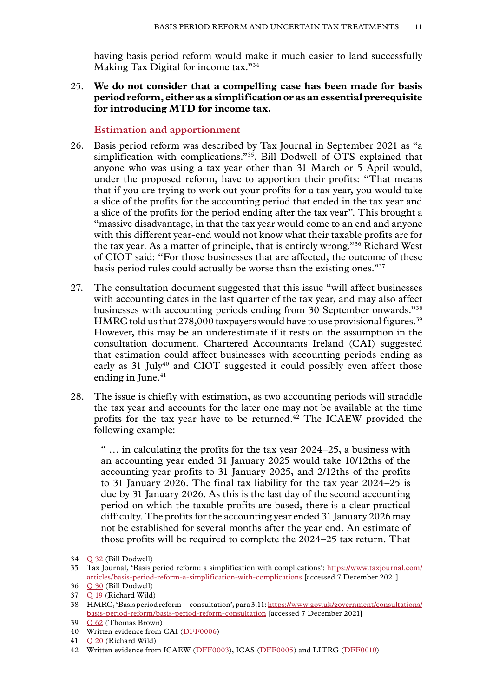<span id="page-12-0"></span>having basis period reform would make it much easier to land successfully Making Tax Digital for income tax."34

25. **We do not consider that a compelling case has been made for basis period reform, either as a simplification or as an essential prerequisite for introducing MTD for income tax.**

#### **Estimation and apportionment**

- 26. Basis period reform was described by Tax Journal in September 2021 as "a simplification with complications."<sup>35</sup>. Bill Dodwell of OTS explained that anyone who was using a tax year other than 31 March or 5 April would, under the proposed reform, have to apportion their profits: "That means that if you are trying to work out your profits for a tax year, you would take a slice of the profits for the accounting period that ended in the tax year and a slice of the profits for the period ending after the tax year". This brought a "massive disadvantage, in that the tax year would come to an end and anyone with this different year-end would not know what their taxable profits are for the tax year. As a matter of principle, that is entirely wrong."36 Richard West of CIOT said: "For those businesses that are affected, the outcome of these basis period rules could actually be worse than the existing ones."37
- 27. The consultation document suggested that this issue "will affect businesses with accounting dates in the last quarter of the tax year, and may also affect businesses with accounting periods ending from 30 September onwards."38 HMRC told us that  $278,000$  taxpayers would have to use provisional figures.<sup>39</sup> However, this may be an underestimate if it rests on the assumption in the consultation document. Chartered Accountants Ireland (CAI) suggested that estimation could affect businesses with accounting periods ending as early as 31 July<sup>40</sup> and CIOT suggested it could possibly even affect those ending in June.<sup>41</sup>
- 28. The issue is chiefly with estimation, as two accounting periods will straddle the tax year and accounts for the later one may not be available at the time profits for the tax year have to be returned.42 The ICAEW provided the following example:

" … in calculating the profits for the tax year 2024–25, a business with an accounting year ended 31 January 2025 would take 10/12ths of the accounting year profits to 31 January 2025, and 2/12ths of the profits to 31 January 2026. The final tax liability for the tax year 2024–25 is due by 31 January 2026. As this is the last day of the second accounting period on which the taxable profits are based, there is a clear practical difficulty. The profits for the accounting year ended 31 January 2026 may not be established for several months after the year end. An estimate of those profits will be required to complete the 2024–25 tax return. That

<sup>34</sup> [Q 32](https://committees.parliament.uk/oralevidence/2871/html/) (Bill Dodwell)

<sup>35</sup> Tax Journal, 'Basis period reform: a simplification with complications': [https://www.taxjournal.com/](https://www.taxjournal.com/articles/basis-period-reform-a-simplification-with-complications) [articles/basis-period-reform-a-simplification-with-complications](https://www.taxjournal.com/articles/basis-period-reform-a-simplification-with-complications) [accessed 7 December 2021]

<sup>36</sup> [Q 30](https://committees.parliament.uk/oralevidence/2871/html/) (Bill Dodwell)

<sup>37</sup> [Q 19](https://committees.parliament.uk/oralevidence/2803/html/) (Richard Wild)

<sup>38</sup> HMRC, 'Basis period reform—consultation', para 3.11: [https://www.gov.uk/government/consultations/](https://www.gov.uk/government/consultations/basis-period-reform/basis-period-reform-consultation) [basis-period-reform/basis-period-reform-consultation](https://www.gov.uk/government/consultations/basis-period-reform/basis-period-reform-consultation) [accessed 7 December 2021]

<sup>39</sup> [Q 62](https://committees.parliament.uk/oralevidence/2981/html/) (Thomas Brown)

<sup>40</sup> Written evidence from CAI ([DFF0006\)](https://committees.parliament.uk/writtenevidence/39930/html/)

<sup>41</sup> [Q 20](https://committees.parliament.uk/oralevidence/2803/html/) (Richard Wild)

<sup>42</sup> Written evidence from ICAEW ([DFF0003\)](https://committees.parliament.uk/writtenevidence/39915/html/), ICAS ([DFF0005\)](https://committees.parliament.uk/writtenevidence/39928/html/) and LITRG ([DFF0010\)](https://committees.parliament.uk/writtenevidence/39951/html/)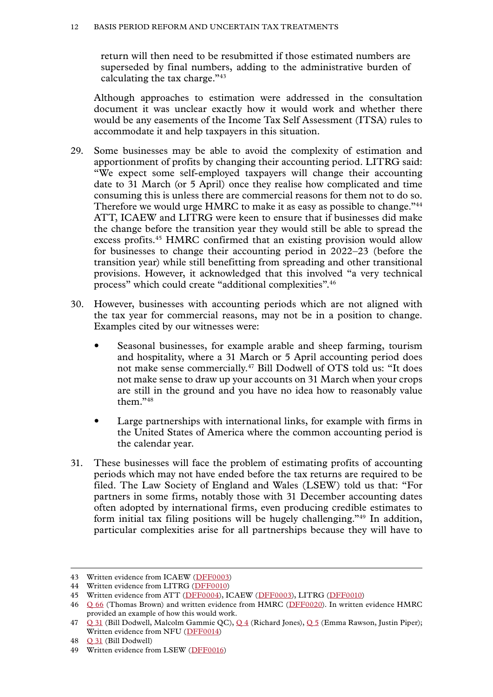return will then need to be resubmitted if those estimated numbers are superseded by final numbers, adding to the administrative burden of calculating the tax charge."43

Although approaches to estimation were addressed in the consultation document it was unclear exactly how it would work and whether there would be any easements of the Income Tax Self Assessment (ITSA) rules to accommodate it and help taxpayers in this situation.

- 29. Some businesses may be able to avoid the complexity of estimation and apportionment of profits by changing their accounting period. LITRG said: "We expect some self-employed taxpayers will change their accounting date to 31 March (or 5 April) once they realise how complicated and time consuming this is unless there are commercial reasons for them not to do so. Therefore we would urge HMRC to make it as easy as possible to change."<sup>44</sup> ATT, ICAEW and LITRG were keen to ensure that if businesses did make the change before the transition year they would still be able to spread the excess profits.45 HMRC confirmed that an existing provision would allow for businesses to change their accounting period in 2022–23 (before the transition year) while still benefitting from spreading and other transitional provisions. However, it acknowledged that this involved "a very technical process" which could create "additional complexities".46
- 30. However, businesses with accounting periods which are not aligned with the tax year for commercial reasons, may not be in a position to change. Examples cited by our witnesses were:
	- Seasonal businesses, for example arable and sheep farming, tourism and hospitality, where a 31 March or 5 April accounting period does not make sense commercially.47 Bill Dodwell of OTS told us: "It does not make sense to draw up your accounts on 31 March when your crops are still in the ground and you have no idea how to reasonably value them."48
	- Large partnerships with international links, for example with firms in the United States of America where the common accounting period is the calendar year.
- 31. These businesses will face the problem of estimating profits of accounting periods which may not have ended before the tax returns are required to be filed. The Law Society of England and Wales (LSEW) told us that: "For partners in some firms, notably those with 31 December accounting dates often adopted by international firms, even producing credible estimates to form initial tax filing positions will be hugely challenging."49 In addition, particular complexities arise for all partnerships because they will have to

<sup>43</sup> Written evidence from ICAEW ([DFF0003\)](https://committees.parliament.uk/writtenevidence/39915/html/)

<sup>44</sup> Written evidence from LITRG ([DFF0010](https://committees.parliament.uk/writtenevidence/39951/html/))

<sup>45</sup> Written evidence from ATT ([DFF0004](https://committees.parliament.uk/writtenevidence/39926/html/)), ICAEW ([DFF0003\)](https://committees.parliament.uk/writtenevidence/39915/html/), LITRG ([DFF0010](https://committees.parliament.uk/writtenevidence/39951/html/))

<sup>46</sup> [Q 66](https://committees.parliament.uk/oralevidence/2981/html/) (Thomas Brown) and written evidence from HMRC ([DFF0020\)](https://committees.parliament.uk/writtenevidence/40923/html/). In written evidence HMRC provided an example of how this would work.

<sup>47</sup> [Q 31](https://committees.parliament.uk/oralevidence/2871/html/) (Bill Dodwell, Malcolm Gammie QC), [Q 4](https://committees.parliament.uk/oralevidence/2802/html/) (Richard Jones), [Q 5](https://committees.parliament.uk/oralevidence/2802/html/) (Emma Rawson, Justin Piper); Written evidence from NFU ([DFF0014](https://committees.parliament.uk/writtenevidence/39967/html/))

<sup>48</sup> [Q 31](https://committees.parliament.uk/oralevidence/2871/html/) (Bill Dodwell)

<sup>49</sup> Written evidence from LSEW ([DFF0016](https://committees.parliament.uk/writtenevidence/40101/html/))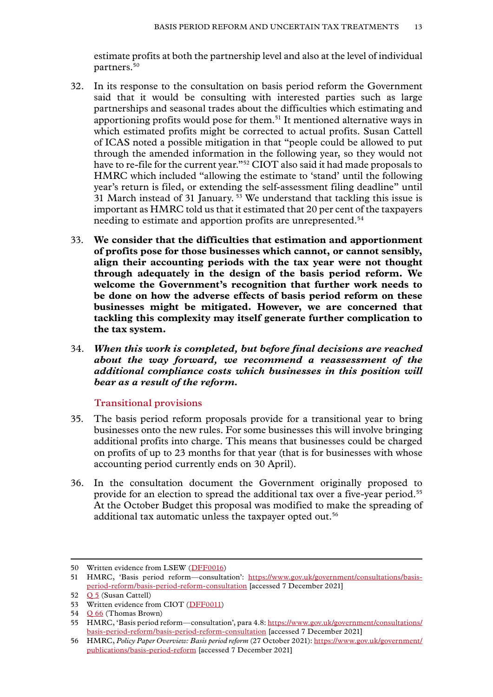<span id="page-14-0"></span>estimate profits at both the partnership level and also at the level of individual partners.50

- 32. In its response to the consultation on basis period reform the Government said that it would be consulting with interested parties such as large partnerships and seasonal trades about the difficulties which estimating and apportioning profits would pose for them.<sup>51</sup> It mentioned alternative ways in which estimated profits might be corrected to actual profits. Susan Cattell of ICAS noted a possible mitigation in that "people could be allowed to put through the amended information in the following year, so they would not have to re-file for the current year."52 CIOT also said it had made proposals to HMRC which included "allowing the estimate to 'stand' until the following year's return is filed, or extending the self-assessment filing deadline" until 31 March instead of 31 January. 53 We understand that tackling this issue is important as HMRC told us that it estimated that 20 per cent of the taxpayers needing to estimate and apportion profits are unrepresented.<sup>54</sup>
- 33. **We consider that the difficulties that estimation and apportionment of profits pose for those businesses which cannot, or cannot sensibly, align their accounting periods with the tax year were not thought through adequately in the design of the basis period reform. We welcome the Government's recognition that further work needs to be done on how the adverse effects of basis period reform on these businesses might be mitigated. However, we are concerned that tackling this complexity may itself generate further complication to the tax system.**
- 34. *When this work is completed, but before final decisions are reached about the way forward, we recommend a reassessment of the additional compliance costs which businesses in this position will bear as a result of the reform.*

#### **Transitional provisions**

- 35. The basis period reform proposals provide for a transitional year to bring businesses onto the new rules. For some businesses this will involve bringing additional profits into charge. This means that businesses could be charged on profits of up to 23 months for that year (that is for businesses with whose accounting period currently ends on 30 April).
- 36. In the consultation document the Government originally proposed to provide for an election to spread the additional tax over a five-year period.55 At the October Budget this proposal was modified to make the spreading of additional tax automatic unless the taxpayer opted out.<sup>56</sup>

<sup>50</sup> Written evidence from LSEW ([DFF0016](https://committees.parliament.uk/writtenevidence/40101/html/))

<sup>51</sup> HMRC, 'Basis period reform—consultation': [https://www.gov.uk/government/consultations/basis](https://www.gov.uk/government/consultations/basis-period-reform/basis-period-reform-consultation)[period-reform/basis-period-reform-consultation](https://www.gov.uk/government/consultations/basis-period-reform/basis-period-reform-consultation) [accessed 7 December 2021]

<sup>52</sup> **Q 5** (Susan Cattell)

<sup>53</sup> Written evidence from CIOT ([DFF0011](https://committees.parliament.uk/writtenevidence/39953/html/))

<sup>54</sup> [Q 66](https://committees.parliament.uk/oralevidence/2981/html/) (Thomas Brown)

<sup>55</sup> HMRC, 'Basis period reform—consultation', para 4.8: [https://www.gov.uk/government/consultations/](https://www.gov.uk/government/consultations/basis-period-reform/basis-period-reform-consultation) [basis-period-reform/basis-period-reform-consultation](https://www.gov.uk/government/consultations/basis-period-reform/basis-period-reform-consultation) [accessed 7 December 2021]

<sup>56</sup> HMRC, *Policy Paper Overview: Basis period reform* (27 October 2021): [https://www.gov.uk/government/](https://www.gov.uk/government/publications/basis-period-reform) [publications/basis-period-reform](https://www.gov.uk/government/publications/basis-period-reform) [accessed 7 December 2021]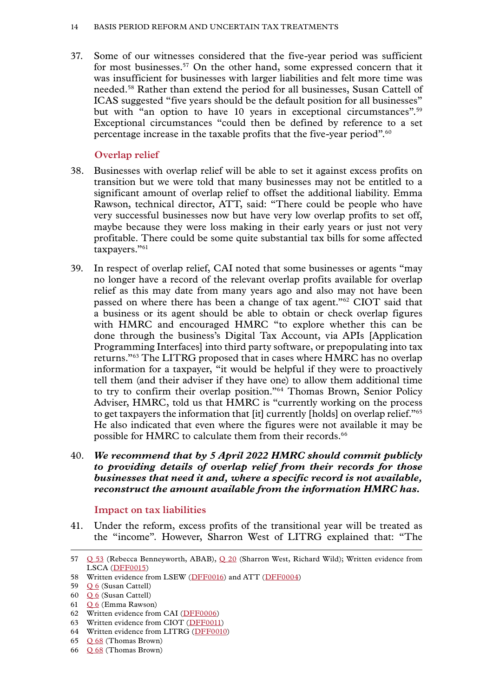#### <span id="page-15-0"></span>14 Basis Period Reform and Uncertain Tax Treatments

37. Some of our witnesses considered that the five-year period was sufficient for most businesses.<sup>57</sup> On the other hand, some expressed concern that it was insufficient for businesses with larger liabilities and felt more time was needed.58 Rather than extend the period for all businesses, Susan Cattell of ICAS suggested "five years should be the default position for all businesses" but with "an option to have 10 years in exceptional circumstances".<sup>59</sup> Exceptional circumstances "could then be defined by reference to a set percentage increase in the taxable profits that the five-year period".60

# **Overlap relief**

- 38. Businesses with overlap relief will be able to set it against excess profits on transition but we were told that many businesses may not be entitled to a significant amount of overlap relief to offset the additional liability. Emma Rawson, technical director, ATT, said: "There could be people who have very successful businesses now but have very low overlap profits to set off, maybe because they were loss making in their early years or just not very profitable. There could be some quite substantial tax bills for some affected taxpayers."61
- 39. In respect of overlap relief, CAI noted that some businesses or agents "may no longer have a record of the relevant overlap profits available for overlap relief as this may date from many years ago and also may not have been passed on where there has been a change of tax agent."62 CIOT said that a business or its agent should be able to obtain or check overlap figures with HMRC and encouraged HMRC "to explore whether this can be done through the business's Digital Tax Account, via APIs [Application Programming Interfaces] into third party software, or prepopulating into tax returns."63 The LITRG proposed that in cases where HMRC has no overlap information for a taxpayer, "it would be helpful if they were to proactively tell them (and their adviser if they have one) to allow them additional time to try to confirm their overlap position."64 Thomas Brown, Senior Policy Adviser, HMRC, told us that HMRC is "currently working on the process to get taxpayers the information that [it] currently [holds] on overlap relief."<sup>65</sup> He also indicated that even where the figures were not available it may be possible for HMRC to calculate them from their records.<sup>66</sup>
- 40. *We recommend that by 5 April 2022 HMRC should commit publicly to providing details of overlap relief from their records for those businesses that need it and, where a specific record is not available, reconstruct the amount available from the information HMRC has.*

# **Impact on tax liabilities**

41. Under the reform, excess profits of the transitional year will be treated as the "income". However, Sharron West of LITRG explained that: "The

<sup>57</sup> [Q 53](https://committees.parliament.uk/oralevidence/2872/html/) (Rebecca Benneyworth, ABAB), [Q 20](https://committees.parliament.uk/oralevidence/2803/html/) (Sharron West, Richard Wild); Written evidence from LSCA ([DFF0015](https://committees.parliament.uk/writtenevidence/39975/html/))

<sup>58</sup> Written evidence from LSEW ([DFF0016](https://committees.parliament.uk/writtenevidence/40101/html/)) and ATT ([DFF0004](https://committees.parliament.uk/writtenevidence/39926/html/))

<sup>59</sup> O 6 (Susan Cattell)

<sup>60</sup> [Q 6](https://committees.parliament.uk/oralevidence/2802/html/) (Susan Cattell)

<sup>61</sup> [Q 6](https://committees.parliament.uk/oralevidence/2802/html/) (Emma Rawson)

<sup>62</sup> Written evidence from CAI ([DFF0006\)](https://committees.parliament.uk/writtenevidence/39930/html/)

<sup>63</sup> Written evidence from CIOT ([DFF0011](https://committees.parliament.uk/writtenevidence/39953/html/))

<sup>64</sup> Written evidence from LITRG ([DFF0010](https://committees.parliament.uk/writtenevidence/39951/html/))

<sup>65</sup>  $Q$  68 (Thomas Brown)

<sup>66</sup> [Q 68](https://committees.parliament.uk/oralevidence/2981/html/) (Thomas Brown)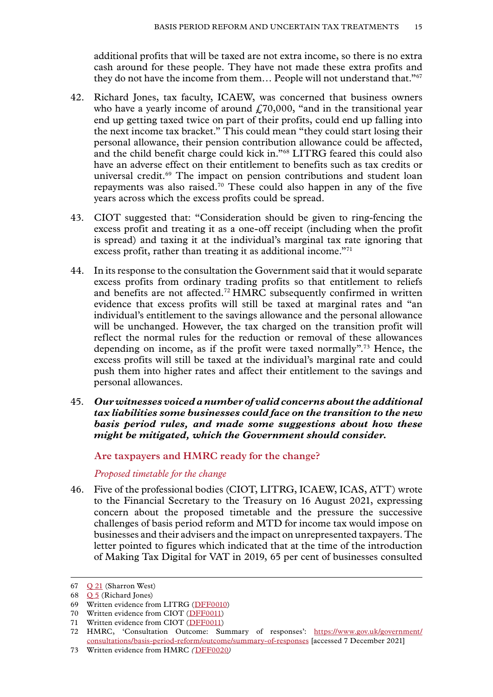<span id="page-16-0"></span>additional profits that will be taxed are not extra income, so there is no extra cash around for these people. They have not made these extra profits and they do not have the income from them... People will not understand that."<sup>67</sup>

- 42. Richard Jones, tax faculty, ICAEW, was concerned that business owners who have a yearly income of around  $f70,000$ , "and in the transitional year end up getting taxed twice on part of their profits, could end up falling into the next income tax bracket." This could mean "they could start losing their personal allowance, their pension contribution allowance could be affected, and the child benefit charge could kick in."68 LITRG feared this could also have an adverse effect on their entitlement to benefits such as tax credits or universal credit.<sup>69</sup> The impact on pension contributions and student loan repayments was also raised.<sup>70</sup> These could also happen in any of the five years across which the excess profits could be spread.
- 43. CIOT suggested that: "Consideration should be given to ring-fencing the excess profit and treating it as a one-off receipt (including when the profit is spread) and taxing it at the individual's marginal tax rate ignoring that excess profit, rather than treating it as additional income."71
- 44. In its response to the consultation the Government said that it would separate excess profits from ordinary trading profits so that entitlement to reliefs and benefits are not affected.<sup>72</sup> HMRC subsequently confirmed in written evidence that excess profits will still be taxed at marginal rates and "an individual's entitlement to the savings allowance and the personal allowance will be unchanged. However, the tax charged on the transition profit will reflect the normal rules for the reduction or removal of these allowances depending on income, as if the profit were taxed normally".73 Hence, the excess profits will still be taxed at the individual's marginal rate and could push them into higher rates and affect their entitlement to the savings and personal allowances.
- 45. *Our witnesses voiced a number of valid concerns about the additional tax liabilities some businesses could face on the transition to the new basis period rules, and made some suggestions about how these might be mitigated, which the Government should consider.*

**Are taxpayers and HMRC ready for the change?**

*Proposed timetable for the change*

46. Five of the professional bodies (CIOT, LITRG, ICAEW, ICAS, ATT) wrote to the Financial Secretary to the Treasury on 16 August 2021, expressing concern about the proposed timetable and the pressure the successive challenges of basis period reform and MTD for income tax would impose on businesses and their advisers and the impact on unrepresented taxpayers. The letter pointed to figures which indicated that at the time of the introduction of Making Tax Digital for VAT in 2019, 65 per cent of businesses consulted

<sup>67</sup>  $Q_2$ 1 (Sharron West)

<sup>68</sup> [Q 5](https://committees.parliament.uk/oralevidence/2802/html/) (Richard Jones)

<sup>69</sup> Written evidence from LITRG ([DFF0010](https://committees.parliament.uk/writtenevidence/39951/html/))

<sup>70</sup> Written evidence from CIOT ([DFF0011](https://committees.parliament.uk/writtenevidence/39953/html/))

<sup>71</sup> Written evidence from CIOT ([DFF0011](https://committees.parliament.uk/writtenevidence/39953/html/))

<sup>72</sup> HMRC, 'Consultation Outcome: Summary of responses': [https://www.gov.uk/government/](https://www.gov.uk/government/consultations/basis-period-reform/outcome/summary-of-responses) [consultations/basis-period-reform/outcome/summary-of-responses](https://www.gov.uk/government/consultations/basis-period-reform/outcome/summary-of-responses) [accessed 7 December 2021]

<sup>73</sup> Written evidence from HMRC *(*[DFF0020](https://committees.parliament.uk/writtenevidence/40923/html/)*)*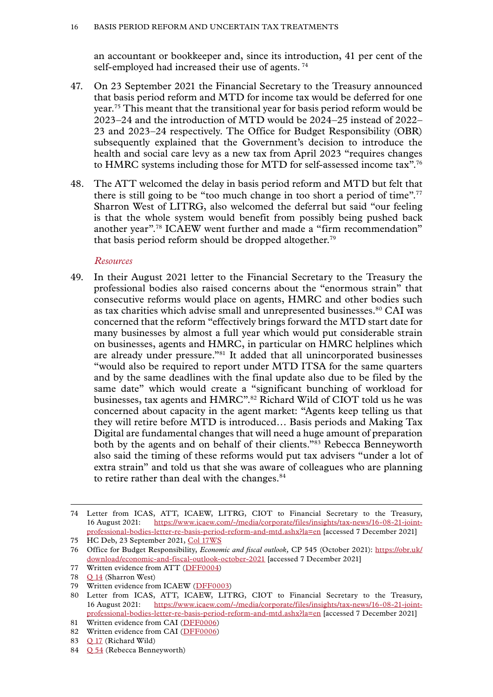<span id="page-17-0"></span>an accountant or bookkeeper and, since its introduction, 41 per cent of the self-employed had increased their use of agents.<sup>74</sup>

- 47. On 23 September 2021 the Financial Secretary to the Treasury announced that basis period reform and MTD for income tax would be deferred for one year.75 This meant that the transitional year for basis period reform would be 2023–24 and the introduction of MTD would be 2024–25 instead of 2022– 23 and 2023–24 respectively. The Office for Budget Responsibility (OBR) subsequently explained that the Government's decision to introduce the health and social care levy as a new tax from April 2023 "requires changes to HMRC systems including those for MTD for self-assessed income tax".76
- 48. The ATT welcomed the delay in basis period reform and MTD but felt that there is still going to be "too much change in too short a period of time".<sup>77</sup> Sharron West of LITRG, also welcomed the deferral but said "our feeling is that the whole system would benefit from possibly being pushed back another year".78 ICAEW went further and made a "firm recommendation" that basis period reform should be dropped altogether.<sup>79</sup>

#### *Resources*

49. In their August 2021 letter to the Financial Secretary to the Treasury the professional bodies also raised concerns about the "enormous strain" that consecutive reforms would place on agents, HMRC and other bodies such as tax charities which advise small and unrepresented businesses.<sup>80</sup> CAI was concerned that the reform "effectively brings forward the MTD start date for many businesses by almost a full year which would put considerable strain on businesses, agents and HMRC, in particular on HMRC helplines which are already under pressure."81 It added that all unincorporated businesses "would also be required to report under MTD ITSA for the same quarters and by the same deadlines with the final update also due to be filed by the same date" which would create a "significant bunching of workload for businesses, tax agents and HMRC".<sup>82</sup> Richard Wild of CIOT told us he was concerned about capacity in the agent market: "Agents keep telling us that they will retire before MTD is introduced… Basis periods and Making Tax Digital are fundamental changes that will need a huge amount of preparation both by the agents and on behalf of their clients."83 Rebecca Benneyworth also said the timing of these reforms would put tax advisers "under a lot of extra strain" and told us that she was aware of colleagues who are planning to retire rather than deal with the changes.<sup>84</sup>

<sup>74</sup> Letter from ICAS, ATT, ICAEW, LITRG, CIOT to Financial Secretary to the Treasury, 16 August 2021: [https://www.icaew.com/-/media/corporate/files/insights/tax-news/16-08-21-joint](https://www.icaew.com/-/media/corporate/files/insights/tax-news/16-08-21-joint-professional-bodies-letter-re-basis-period-reform-and-mtd.ashx?la=en)[professional-bodies-letter-re-basis-period-reform-and-mtd.ashx?la=en](https://www.icaew.com/-/media/corporate/files/insights/tax-news/16-08-21-joint-professional-bodies-letter-re-basis-period-reform-and-mtd.ashx?la=en) [accessed 7 December 2021]

<sup>75</sup> HC Deb, 23 September 2021, [Col 17WS](https://questions-statements.parliament.uk/written-statements/detail/2021-09-23/hcws308)

<sup>76</sup> Office for Budget Responsibility, *Economic and fiscal outlook,* CP 545 (October 2021): [https://obr.uk/](https://obr.uk/download/economic-and-fiscal-outlook-october-2021) [download/economic-and-fiscal-outlook-october-2021](https://obr.uk/download/economic-and-fiscal-outlook-october-2021) [accessed 7 December 2021]

<sup>77</sup> Written evidence from ATT ([DFF0004](https://committees.parliament.uk/writtenevidence/39926/html/))

<sup>78</sup> [Q 14](https://committees.parliament.uk/oralevidence/2803/html/) (Sharron West)

<sup>79</sup> Written evidence from ICAEW ([DFF0003\)](https://committees.parliament.uk/writtenevidence/39915/html/)

<sup>80</sup> Letter from ICAS, ATT, ICAEW, LITRG, CIOT to Financial Secretary to the Treasury, 16 August 2021: [https://www.icaew.com/-/media/corporate/files/insights/tax-news/16-08-21-joint](https://www.icaew.com/-/media/corporate/files/insights/tax-news/16-08-21-joint-professional-bodies-letter-re-basis-period-reform-and-mtd.ashx?la=en)[professional-bodies-letter-re-basis-period-reform-and-mtd.ashx?la=en](https://www.icaew.com/-/media/corporate/files/insights/tax-news/16-08-21-joint-professional-bodies-letter-re-basis-period-reform-and-mtd.ashx?la=en) [accessed 7 December 2021]

<sup>81</sup> Written evidence from CAI ([DFF0006\)](https://committees.parliament.uk/writtenevidence/39930/html/) 82 Written evidence from CAI ([DFF0006\)](https://committees.parliament.uk/writtenevidence/39930/html/)

<sup>83</sup> [Q 17](https://committees.parliament.uk/oralevidence/2803/html/) (Richard Wild)

<sup>84</sup> [Q 54](https://committees.parliament.uk/oralevidence/2872/html/) (Rebecca Benneyworth)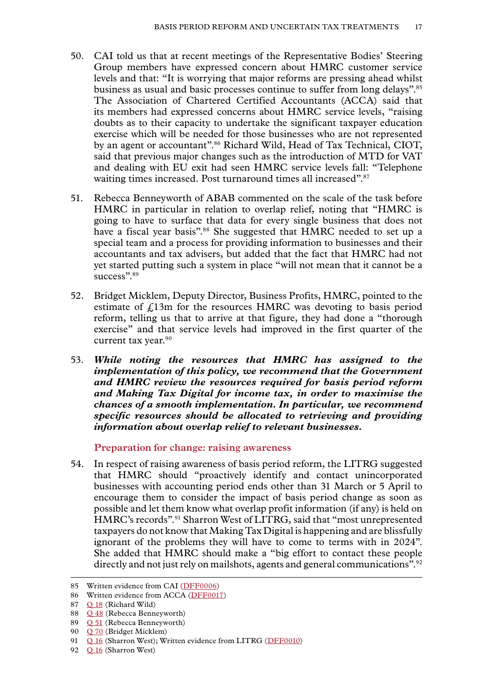- <span id="page-18-0"></span>50. CAI told us that at recent meetings of the Representative Bodies' Steering Group members have expressed concern about HMRC customer service levels and that: "It is worrying that major reforms are pressing ahead whilst business as usual and basic processes continue to suffer from long delays".85 The Association of Chartered Certified Accountants (ACCA) said that its members had expressed concerns about HMRC service levels, "raising doubts as to their capacity to undertake the significant taxpayer education exercise which will be needed for those businesses who are not represented by an agent or accountant".<sup>86</sup> Richard Wild, Head of Tax Technical, CIOT, said that previous major changes such as the introduction of MTD for VAT and dealing with EU exit had seen HMRC service levels fall: "Telephone waiting times increased. Post turnaround times all increased".<sup>87</sup>
- 51. Rebecca Benneyworth of ABAB commented on the scale of the task before HMRC in particular in relation to overlap relief, noting that "HMRC is going to have to surface that data for every single business that does not have a fiscal year basis".<sup>88</sup> She suggested that HMRC needed to set up a special team and a process for providing information to businesses and their accountants and tax advisers, but added that the fact that HMRC had not yet started putting such a system in place "will not mean that it cannot be a success".<sup>89</sup>
- 52. Bridget Micklem, Deputy Director, Business Profits, HMRC, pointed to the estimate of  $f<sub>i</sub>13m$  for the resources HMRC was devoting to basis period reform, telling us that to arrive at that figure, they had done a "thorough exercise" and that service levels had improved in the first quarter of the current tax year.<sup>90</sup>
- 53. *While noting the resources that HMRC has assigned to the implementation of this policy, we recommend that the Government and HMRC review the resources required for basis period reform and Making Tax Digital for income tax, in order to maximise the chances of a smooth implementation. In particular, we recommend specific resources should be allocated to retrieving and providing information about overlap relief to relevant businesses.*

#### **Preparation for change: raising awareness**

54. In respect of raising awareness of basis period reform, the LITRG suggested that HMRC should "proactively identify and contact unincorporated businesses with accounting period ends other than 31 March or 5 April to encourage them to consider the impact of basis period change as soon as possible and let them know what overlap profit information (if any) is held on HMRC's records".91 Sharron West of LITRG, said that "most unrepresented taxpayers do not know that Making Tax Digital is happening and are blissfully ignorant of the problems they will have to come to terms with in 2024". She added that HMRC should make a "big effort to contact these people directly and not just rely on mailshots, agents and general communications".<sup>92</sup>

<sup>85</sup> Written evidence from CAI ([DFF0006\)](https://committees.parliament.uk/writtenevidence/39930/html/)

<sup>86</sup> Written evidence from ACCA ([DFF0017\)](https://committees.parliament.uk/writtenevidence/40368/html/)

<sup>87</sup> [Q 18](https://committees.parliament.uk/oralevidence/2803/html/) (Richard Wild)

<sup>88</sup> [Q 48](https://committees.parliament.uk/oralevidence/2872/html/) (Rebecca Benneyworth)

<sup>89</sup> [Q 51](https://committees.parliament.uk/oralevidence/2872/html/) (Rebecca Benneyworth)

<sup>90</sup> O 70 (Bridget Micklem)

<sup>91</sup> [Q 16](https://committees.parliament.uk/oralevidence/2803/html/) (Sharron West); Written evidence from LITRG ([DFF0010](https://committees.parliament.uk/writtenevidence/39951/html/))

<sup>92</sup> O 16 (Sharron West)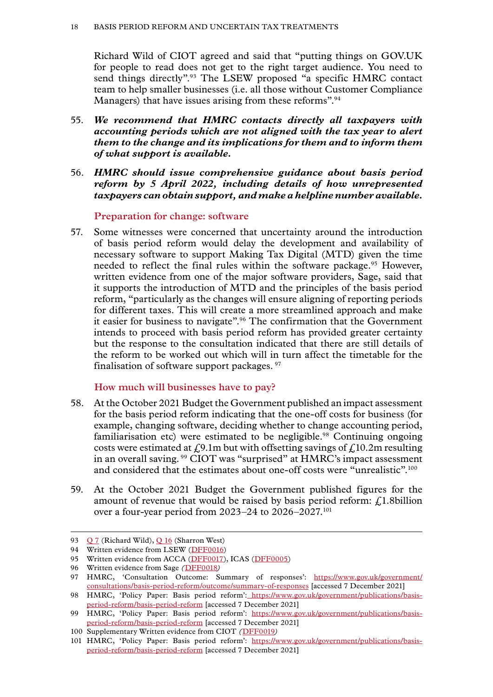<span id="page-19-0"></span>Richard Wild of CIOT agreed and said that "putting things on GOV.UK for people to read does not get to the right target audience. You need to send things directly".93 The LSEW proposed "a specific HMRC contact team to help smaller businesses (i.e. all those without Customer Compliance Managers) that have issues arising from these reforms".<sup>94</sup>

- 55. *We recommend that HMRC contacts directly all taxpayers with accounting periods which are not aligned with the tax year to alert them to the change and its implications for them and to inform them of what support is available.*
- 56. *HMRC should issue comprehensive guidance about basis period reform by 5 April 2022, including details of how unrepresented taxpayers can obtain support, and make a helpline number available.*

#### **Preparation for change: software**

57. Some witnesses were concerned that uncertainty around the introduction of basis period reform would delay the development and availability of necessary software to support Making Tax Digital (MTD) given the time needed to reflect the final rules within the software package.<sup>95</sup> However, written evidence from one of the major software providers, Sage, said that it supports the introduction of MTD and the principles of the basis period reform, "particularly as the changes will ensure aligning of reporting periods for different taxes. This will create a more streamlined approach and make it easier for business to navigate".96 The confirmation that the Government intends to proceed with basis period reform has provided greater certainty but the response to the consultation indicated that there are still details of the reform to be worked out which will in turn affect the timetable for the finalisation of software support packages. <sup>97</sup>

#### **How much will businesses have to pay?**

- 58. At the October 2021 Budget the Government published an impact assessment for the basis period reform indicating that the one-off costs for business (for example, changing software, deciding whether to change accounting period, familiarisation etc) were estimated to be negligible.<sup>98</sup> Continuing ongoing costs were estimated at  $\mathcal{L}9.1$ m but with offsetting savings of  $\mathcal{L}10.2$ m resulting in an overall saving. 99 CIOT was "surprised" at HMRC's impact assessment and considered that the estimates about one-off costs were "unrealistic".<sup>100</sup>
- 59. At the October 2021 Budget the Government published figures for the amount of revenue that would be raised by basis period reform:  $\int_{\mathcal{L}} 1.8 \text{ billion}$ over a four-year period from 2023–24 to 2026–2027.101

<sup>93</sup> [Q 7](https://committees.parliament.uk/oralevidence/2803/html/) (Richard Wild), [Q 16](https://committees.parliament.uk/oralevidence/2803/html/) (Sharron West)

<sup>94</sup> Written evidence from LSEW ([DFF0016](https://committees.parliament.uk/writtenevidence/40101/html/))

<sup>95</sup> Written evidence from ACCA ([DFF0017\)](https://committees.parliament.uk/writtenevidence/40368/html/), ICAS [\(DFF0005\)](https://committees.parliament.uk/writtenevidence/39928/html/)

<sup>96</sup> Written evidence from Sage *(*[DFF0018](https://committees.parliament.uk/writtenevidence/40893/html/)*)*

<sup>97</sup> HMRC, 'Consultation Outcome: Summary of responses': [https://www.gov.uk/government/](https://www.gov.uk/government/consultations/basis-period-reform/outcome/summary-of-responses) [consultations/basis-period-reform/outcome/summary-of-responses](https://www.gov.uk/government/consultations/basis-period-reform/outcome/summary-of-responses) [accessed 7 December 2021]

<sup>98</sup> HMRC, 'Policy Paper: Basis period reform': [https://www.gov.uk/government/publications/basis](https://www.gov.uk/government/publications/basis-period-reform/basis-period-reform)[period-reform/basis-period-reform](https://www.gov.uk/government/publications/basis-period-reform/basis-period-reform) [accessed 7 December 2021]

<sup>99</sup> HMRC, 'Policy Paper: Basis period reform': [https://www.gov.uk/government/publications/basis](https://www.gov.uk/government/publications/basis-period-reform/basis-period-reform)[period-reform/basis-period-reform](https://www.gov.uk/government/publications/basis-period-reform/basis-period-reform) [accessed 7 December 2021]

<sup>100</sup> Supplementary Written evidence from CIOT *(*[DFF0019](https://committees.parliament.uk/writtenevidence/40922/html/)*)*

<sup>101</sup> HMRC, 'Policy Paper: Basis period reform': [https://www.gov.uk/government/publications/basis](https://www.gov.uk/government/publications/basis-period-reform/basis-period-reform)[period-reform/basis-period-reform](https://www.gov.uk/government/publications/basis-period-reform/basis-period-reform) [accessed 7 December 2021]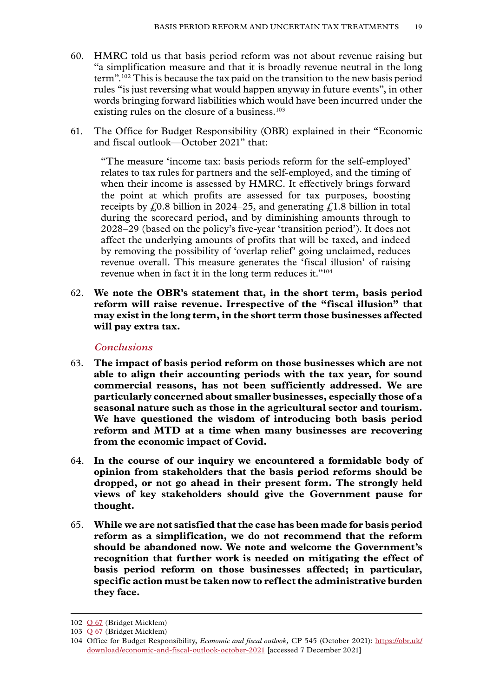- <span id="page-20-0"></span>60. HMRC told us that basis period reform was not about revenue raising but "a simplification measure and that it is broadly revenue neutral in the long term".102 This is because the tax paid on the transition to the new basis period rules "is just reversing what would happen anyway in future events", in other words bringing forward liabilities which would have been incurred under the existing rules on the closure of a business.<sup>103</sup>
- 61. The Office for Budget Responsibility (OBR) explained in their "Economic and fiscal outlook—October 2021" that:

"The measure 'income tax: basis periods reform for the self-employed' relates to tax rules for partners and the self-employed, and the timing of when their income is assessed by HMRC. It effectively brings forward the point at which profits are assessed for tax purposes, boosting receipts by  $\epsilon$  0.8 billion in 2024–25, and generating  $\epsilon$  1.8 billion in total during the scorecard period, and by diminishing amounts through to 2028–29 (based on the policy's five-year 'transition period'). It does not affect the underlying amounts of profits that will be taxed, and indeed by removing the possibility of 'overlap relief' going unclaimed, reduces revenue overall. This measure generates the 'fiscal illusion' of raising revenue when in fact it in the long term reduces it."<sup>104</sup>

62. **We note the OBR's statement that, in the short term, basis period reform will raise revenue. Irrespective of the "fiscal illusion" that may exist in the long term, in the short term those businesses affected will pay extra tax.**

## *Conclusions*

- 63. **The impact of basis period reform on those businesses which are not able to align their accounting periods with the tax year, for sound commercial reasons, has not been sufficiently addressed. We are particularly concerned about smaller businesses, especially those of a seasonal nature such as those in the agricultural sector and tourism. We have questioned the wisdom of introducing both basis period reform and MTD at a time when many businesses are recovering from the economic impact of Covid.**
- 64. **In the course of our inquiry we encountered a formidable body of opinion from stakeholders that the basis period reforms should be dropped, or not go ahead in their present form. The strongly held views of key stakeholders should give the Government pause for thought.**
- 65. **While we are not satisfied that the case has been made for basis period reform as a simplification, we do not recommend that the reform should be abandoned now. We note and welcome the Government's recognition that further work is needed on mitigating the effect of basis period reform on those businesses affected; in particular, specific action must be taken now to reflect the administrative burden they face.**

<sup>102</sup> [Q 67](https://committees.parliament.uk/oralevidence/2981/html/) (Bridget Micklem)

<sup>103</sup> [Q 67](https://committees.parliament.uk/oralevidence/2981/html/) (Bridget Micklem)

<sup>104</sup> Office for Budget Responsibility, *Economic and fiscal outlook,* CP 545 (October 2021): [https://obr.uk/](https://obr.uk/download/economic-and-fiscal-outlook-october-2021) [download/economic-and-fiscal-outlook-october-2021](https://obr.uk/download/economic-and-fiscal-outlook-october-2021) [accessed 7 December 2021]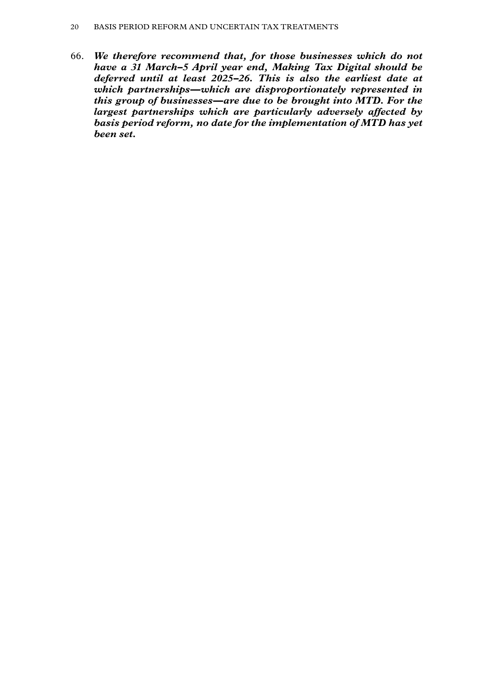66. *We therefore recommend that, for those businesses which do not have a 31 March–5 April year end, Making Tax Digital should be deferred until at least 2025–26. This is also the earliest date at which partnerships—which are disproportionately represented in this group of businesses—are due to be brought into MTD. For the largest partnerships which are particularly adversely affected by basis period reform, no date for the implementation of MTD has yet been set.*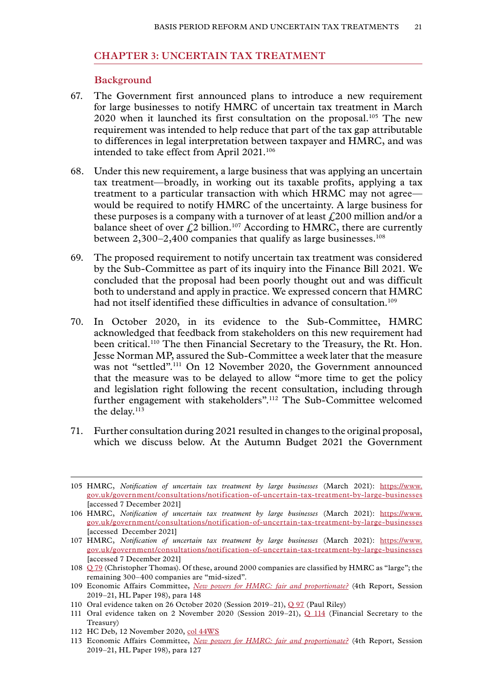#### <span id="page-22-0"></span>**Chapter 3: UNCERTAIN TAX TREATMENT**

#### **Background**

- 67. The Government first announced plans to introduce a new requirement for large businesses to notify HMRC of uncertain tax treatment in March 2020 when it launched its first consultation on the proposal.105 The new requirement was intended to help reduce that part of the tax gap attributable to differences in legal interpretation between taxpayer and HMRC, and was intended to take effect from April 2021.<sup>106</sup>
- 68. Under this new requirement, a large business that was applying an uncertain tax treatment—broadly, in working out its taxable profits, applying a tax treatment to a particular transaction with which HRMC may not agree would be required to notify HMRC of the uncertainty. A large business for these purposes is a company with a turnover of at least  $f200$  million and/or a balance sheet of over  $f<sub>1</sub>2$  billion.<sup>107</sup> According to HMRC, there are currently between  $2,300-2,400$  companies that qualify as large businesses.<sup>108</sup>
- 69. The proposed requirement to notify uncertain tax treatment was considered by the Sub-Committee as part of its inquiry into the Finance Bill 2021. We concluded that the proposal had been poorly thought out and was difficult both to understand and apply in practice. We expressed concern that HMRC had not itself identified these difficulties in advance of consultation.<sup>109</sup>
- 70. In October 2020, in its evidence to the Sub-Committee, HMRC acknowledged that feedback from stakeholders on this new requirement had been critical.<sup>110</sup> The then Financial Secretary to the Treasury, the Rt. Hon. Jesse Norman MP, assured the Sub-Committee a week later that the measure was not "settled".111 On 12 November 2020, the Government announced that the measure was to be delayed to allow "more time to get the policy and legislation right following the recent consultation, including through further engagement with stakeholders".<sup>112</sup> The Sub-Committee welcomed the delay.<sup>113</sup>
- 71. Further consultation during 2021 resulted in changes to the original proposal, which we discuss below. At the Autumn Budget 2021 the Government

- 112 HC Deb, 12 November 2020, [col 44WS](https://hansard.parliament.uk/commons/2020-11-12/debates/95de259c-d718-4160-9c3a-97c83fb3dcf9/WrittenStatements)
- 113 Economic Affairs Committee, *[New powers for HMRC: fair and proportionate?](https://publications.parliament.uk/pa/ld5801/ldselect/ldeconaf/198/19802.htm)* (4th Report, Session 2019–21, HL Paper 198), para 127

<sup>105</sup> HMRC, *Notification of uncertain tax treatment by large businesses* (March 2021): [https://www.](https://www.gov.uk/government/consultations/notification-of-uncertain-tax-treatment-by-large-businesses) [gov.uk/government/consultations/notification-of-uncertain-tax-treatment-by-large-businesses](https://www.gov.uk/government/consultations/notification-of-uncertain-tax-treatment-by-large-businesses) [accessed 7 December 2021]

<sup>106</sup> HMRC, *Notification of uncertain tax treatment by large businesses* (March 2021): [https://www.](https://www.gov.uk/government/consultations/notification-of-uncertain-tax-treatment-by-large-businesses) [gov.uk/government/consultations/notification-of-uncertain-tax-treatment-by-large-businesses](https://www.gov.uk/government/consultations/notification-of-uncertain-tax-treatment-by-large-businesses) [accessed December 2021]

<sup>107</sup> HMRC, *Notification of uncertain tax treatment by large businesses* (March 2021): [https://www.](https://www.gov.uk/government/consultations/notification-of-uncertain-tax-treatment-by-large-businesses) [gov.uk/government/consultations/notification-of-uncertain-tax-treatment-by-large-businesses](https://www.gov.uk/government/consultations/notification-of-uncertain-tax-treatment-by-large-businesses) [accessed 7 December 2021]

<sup>108</sup> [Q 79](https://committees.parliament.uk/oralevidence/2981/html/) (Christopher Thomas). Of these, around 2000 companies are classified by HMRC as "large"; the remaining 300–400 companies are "mid-sized".

<sup>109</sup> Economic Affairs Committee, *[New powers for HMRC: fair and proportionate?](https://publications.parliament.uk/pa/ld5801/ldselect/ldeconaf/198/19802.htm)* (4th Report, Session 2019–21, HL Paper 198), para 148

<sup>110</sup> Oral evidence taken on 26 October 2020 (Session 2019–21), [Q 97](https://committees.parliament.uk/oralevidence/1224/html/) (Paul Riley)

<sup>111</sup> Oral evidence taken on 2 November 2020 (Session 2019–21), [Q 114](https://committees.parliament.uk/oralevidence/1225/html/) (Financial Secretary to the Treasury)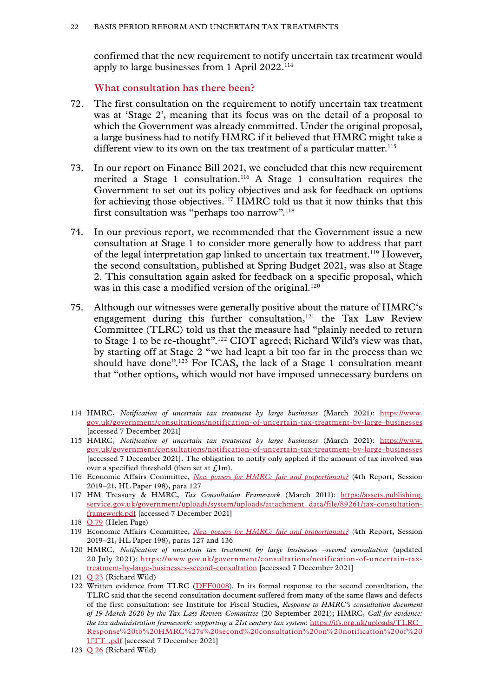<span id="page-23-0"></span>confirmed that the new requirement to notify uncertain tax treatment would apply to large businesses from 1 April 2022.114

**What consultation has there been?**

- 72. The first consultation on the requirement to notify uncertain tax treatment was at 'Stage 2', meaning that its focus was on the detail of a proposal to which the Government was already committed. Under the original proposal, a large business had to notify HMRC if it believed that HMRC might take a different view to its own on the tax treatment of a particular matter.<sup>115</sup>
- 73. In our report on Finance Bill 2021, we concluded that this new requirement merited a Stage 1 consultation.<sup>116</sup> A Stage 1 consultation requires the Government to set out its policy objectives and ask for feedback on options for achieving those objectives.117 HMRC told us that it now thinks that this first consultation was "perhaps too narrow".<sup>118</sup>
- 74. In our previous report, we recommended that the Government issue a new consultation at Stage 1 to consider more generally how to address that part of the legal interpretation gap linked to uncertain tax treatment.119 However, the second consultation, published at Spring Budget 2021, was also at Stage 2. This consultation again asked for feedback on a specific proposal, which was in this case a modified version of the original.<sup>120</sup>
- 75. Although our witnesses were generally positive about the nature of HMRC's engagement during this further consultation,<sup>121</sup> the Tax Law Review Committee (TLRC) told us that the measure had "plainly needed to return to Stage 1 to be re-thought".122 CIOT agreed; Richard Wild's view was that, by starting off at Stage 2 "we had leapt a bit too far in the process than we should have done".<sup>123</sup> For ICAS, the lack of a Stage 1 consultation meant that "other options, which would not have imposed unnecessary burdens on

<sup>114</sup> HMRC, *Notification of uncertain tax treatment by large businesses* (March 2021): [https://www.](https://www.gov.uk/government/consultations/notification-of-uncertain-tax-treatment-by-large-businesses) [gov.uk/government/consultations/notification-of-uncertain-tax-treatment-by-large-businesses](https://www.gov.uk/government/consultations/notification-of-uncertain-tax-treatment-by-large-businesses) [accessed 7 December 2021]

<sup>115</sup> HMRC, *Notification of uncertain tax treatment by large businesses* (March 2021): [https://www.](https://www.gov.uk/government/consultations/notification-of-uncertain-tax-treatment-by-large-businesses) [gov.uk/government/consultations/notification-of-uncertain-tax-treatment-by-large-businesses](https://www.gov.uk/government/consultations/notification-of-uncertain-tax-treatment-by-large-businesses) [accessed 7 December 2021]. The obligation to notify only applied if the amount of tax involved was over a specified threshold (then set at  $\mathcal{L}(1m)$ .

<sup>116</sup> Economic Affairs Committee, *[New powers for HMRC: fair and proportionate?](https://publications.parliament.uk/pa/ld5801/ldselect/ldeconaf/198/19802.htm)* (4th Report, Session 2019–21, HL Paper 198), para 127

<sup>117</sup> HM Treasury & HMRC, *Tax Consultation Framework* (March 2011): [https://assets.publishing.](https://assets.publishing.service.gov.uk/government/uploads/system/uploads/attachment_data/file/89261/tax-consultation-framework.pdf) [service.gov.uk/government/uploads/system/uploads/attachment\\_data/file/89261/tax-consultation](https://assets.publishing.service.gov.uk/government/uploads/system/uploads/attachment_data/file/89261/tax-consultation-framework.pdf)[framework.pdf](https://assets.publishing.service.gov.uk/government/uploads/system/uploads/attachment_data/file/89261/tax-consultation-framework.pdf) [accessed 7 December 2021]

<sup>118</sup> [Q 79](https://committees.parliament.uk/oralevidence/2981/html/) (Helen Page)

<sup>119</sup> Economic Affairs Committee, *[New powers for HMRC: fair and proportionate?](https://publications.parliament.uk/pa/ld5801/ldselect/ldeconaf/198/19802.htm)* (4th Report, Session 2019–21, HL Paper 198), paras 127 and 136

<sup>120</sup> HMRC, *Notification of uncertain tax treatment by large businesses –second consultation* (updated 20 July 2021): [https://www.gov.uk/government/consultations/notification-of-uncertain-tax](https://www.gov.uk/government/consultations/notification-of-uncertain-tax-treatment-by-large-businesses-second-consultation)[treatment-by-large-businesses-second-consultation](https://www.gov.uk/government/consultations/notification-of-uncertain-tax-treatment-by-large-businesses-second-consultation) [accessed 7 December 2021]

<sup>121</sup> [Q 23](https://committees.parliament.uk/oralevidence/2803/html/) (Richard Wild)

<sup>122</sup> Written evidence from TLRC ([DFF0008\)](https://committees.parliament.uk/writtenevidence/39945/html/). In its formal response to the second consultation, the TLRC said that the second consultation document suffered from many of the same flaws and defects of the first consultation: see Institute for Fiscal Studies, *Response to HMRC's consultation document of 19 March 2020 by the Tax Law Review Committee* (20 September 2021); HMRC, *Call for evidence: the tax administration framework: supporting a 21st century tax system*: [https://ifs.org.uk/uploads/TLRC\\_](https://ifs.org.uk/uploads/TLRC_Response%20to%20HMRC%27s%20second%20consultation%20on%20notification%20of%20UTT_.pdf) [Response%20to%20HMRC%27s%20second%20consultation%20on%20notification%20of%20](https://ifs.org.uk/uploads/TLRC_Response%20to%20HMRC%27s%20second%20consultation%20on%20notification%20of%20UTT_.pdf) UTT .pdf [accessed 7 December 2021]

<sup>123</sup>  $Q$  26 (Richard Wild)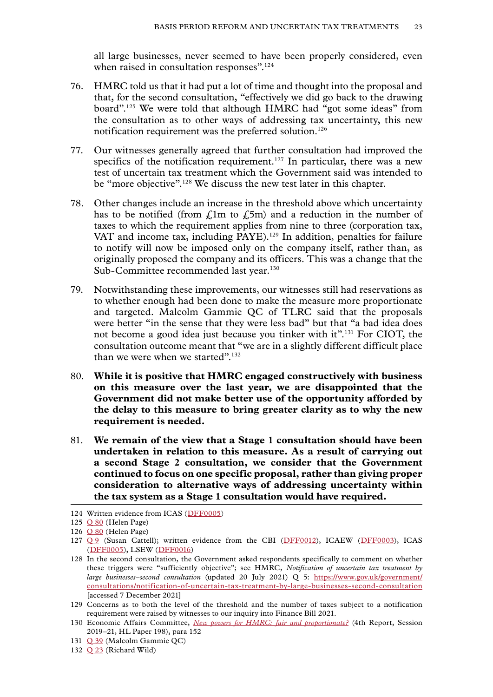all large businesses, never seemed to have been properly considered, even when raised in consultation responses".<sup>124</sup>

- 76. HMRC told us that it had put a lot of time and thought into the proposal and that, for the second consultation, "effectively we did go back to the drawing board".125 We were told that although HMRC had "got some ideas" from the consultation as to other ways of addressing tax uncertainty, this new notification requirement was the preferred solution.<sup>126</sup>
- 77. Our witnesses generally agreed that further consultation had improved the specifics of the notification requirement.<sup>127</sup> In particular, there was a new test of uncertain tax treatment which the Government said was intended to be "more objective".<sup>128</sup> We discuss the new test later in this chapter.
- 78. Other changes include an increase in the threshold above which uncertainty has to be notified (from  $f<sub>i</sub>$ 1m to  $f<sub>i</sub>$ 5m) and a reduction in the number of taxes to which the requirement applies from nine to three (corporation tax, VAT and income tax, including PAYE).<sup>129</sup> In addition, penalties for failure to notify will now be imposed only on the company itself, rather than, as originally proposed the company and its officers. This was a change that the Sub-Committee recommended last year.<sup>130</sup>
- 79. Notwithstanding these improvements, our witnesses still had reservations as to whether enough had been done to make the measure more proportionate and targeted. Malcolm Gammie QC of TLRC said that the proposals were better "in the sense that they were less bad" but that "a bad idea does not become a good idea just because you tinker with it".131 For CIOT, the consultation outcome meant that "we are in a slightly different difficult place than we were when we started".<sup>132</sup>
- 80. **While it is positive that HMRC engaged constructively with business on this measure over the last year, we are disappointed that the Government did not make better use of the opportunity afforded by the delay to this measure to bring greater clarity as to why the new requirement is needed.**
- 81. **We remain of the view that a Stage 1 consultation should have been undertaken in relation to this measure. As a result of carrying out a second Stage 2 consultation, we consider that the Government continued to focus on one specific proposal, rather than giving proper consideration to alternative ways of addressing uncertainty within the tax system as a Stage 1 consultation would have required.**

<sup>124</sup> Written evidence from ICAS ([DFF0005\)](https://committees.parliament.uk/writtenevidence/39928/html/)

<sup>125</sup> [Q 80](https://committees.parliament.uk/oralevidence/2981/html/) (Helen Page)

<sup>126</sup> [Q 80](https://committees.parliament.uk/oralevidence/2981/html/) (Helen Page)

<sup>127</sup> [Q](https://committees.parliament.uk/oralevidence/2802/html/) 9 (Susan Cattell); written evidence from the CBI ([DFF0012\)](https://committees.parliament.uk/writtenevidence/39956/html/), ICAEW ([DFF0003\)](https://committees.parliament.uk/writtenevidence/39915/html/), ICAS ([DFF0005](https://committees.parliament.uk/writtenevidence/39928/html/)), LSEW ([DFF0016](https://committees.parliament.uk/writtenevidence/40101/html/))

<sup>128</sup> In the second consultation, the Government asked respondents specifically to comment on whether these triggers were "sufficiently objective"; see HMRC, *Notification of uncertain tax treatment by large businesses–second consultation* (updated 20 July 2021) Q 5: [https://www.gov.uk/government/](https://www.gov.uk/government/consultations/notification-of-uncertain-tax-treatment-by-large-businesses-second-consultation) [consultations/notification-of-uncertain-tax-treatment-by-large-businesses-second-consultation](https://www.gov.uk/government/consultations/notification-of-uncertain-tax-treatment-by-large-businesses-second-consultation) [accessed 7 December 2021]

<sup>129</sup> Concerns as to both the level of the threshold and the number of taxes subject to a notification requirement were raised by witnesses to our inquiry into Finance Bill 2021.

<sup>130</sup> Economic Affairs Committee, *[New powers for HMRC: fair and proportionate?](https://publications.parliament.uk/pa/ld5801/ldselect/ldeconaf/198/19802.htm)* (4th Report, Session 2019–21, HL Paper 198), para 152

<sup>131</sup> [Q 39](https://committees.parliament.uk/oralevidence/2871/html/) (Malcolm Gammie QC)

<sup>132</sup> [Q 23](https://committees.parliament.uk/oralevidence/2803/html/) (Richard Wild)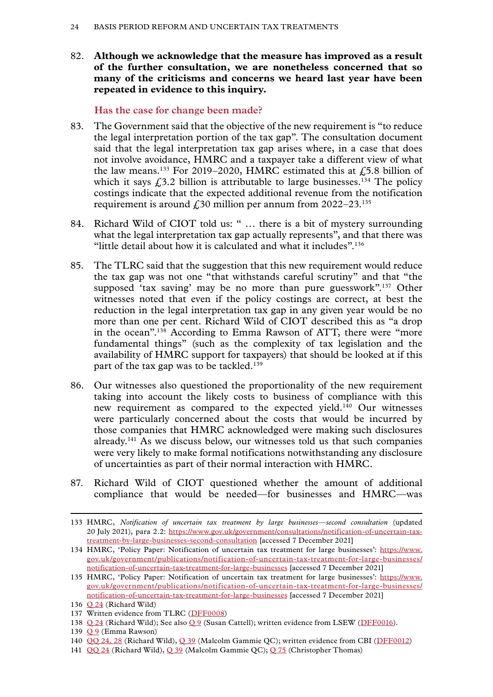<span id="page-25-0"></span>82. **Although we acknowledge that the measure has improved as a result of the further consultation, we are nonetheless concerned that so many of the criticisms and concerns we heard last year have been repeated in evidence to this inquiry.**

#### **Has the case for change been made?**

- 83. The Government said that the objective of the new requirement is "to reduce the legal interpretation portion of the tax gap". The consultation document said that the legal interpretation tax gap arises where, in a case that does not involve avoidance, HMRC and a taxpayer take a different view of what the law means.<sup>133</sup> For 2019–2020, HMRC estimated this at  $\sqrt{5.8}$  billion of which it says  $\zeta$ 3.2 billion is attributable to large businesses.<sup>134</sup> The policy costings indicate that the expected additional revenue from the notification requirement is around  $\text{\textsterling}30$  million per annum from 2022–23.<sup>135</sup>
- 84. Richard Wild of CIOT told us: " … there is a bit of mystery surrounding what the legal interpretation tax gap actually represents", and that there was "little detail about how it is calculated and what it includes".136
- 85. The TLRC said that the suggestion that this new requirement would reduce the tax gap was not one "that withstands careful scrutiny" and that "the supposed 'tax saving' may be no more than pure guesswork".137 Other witnesses noted that even if the policy costings are correct, at best the reduction in the legal interpretation tax gap in any given year would be no more than one per cent. Richard Wild of CIOT described this as "a drop in the ocean".138 According to Emma Rawson of ATT, there were "more fundamental things" (such as the complexity of tax legislation and the availability of HMRC support for taxpayers) that should be looked at if this part of the tax gap was to be tackled.<sup>139</sup>
- 86. Our witnesses also questioned the proportionality of the new requirement taking into account the likely costs to business of compliance with this new requirement as compared to the expected yield.140 Our witnesses were particularly concerned about the costs that would be incurred by those companies that HMRC acknowledged were making such disclosures already.141 As we discuss below, our witnesses told us that such companies were very likely to make formal notifications notwithstanding any disclosure of uncertainties as part of their normal interaction with HMRC.
- 87. Richard Wild of CIOT questioned whether the amount of additional compliance that would be needed—for businesses and HMRC—was

141 [QQ 24](https://committees.parliament.uk/oralevidence/2803/html/) (Richard Wild), [Q 39](https://committees.parliament.uk/oralevidence/2871/html/) (Malcolm Gammie QC); [Q 75](https://committees.parliament.uk/oralevidence/2981/html/) (Christopher Thomas)

<sup>133</sup> HMRC, *Notification of uncertain tax treatment by large businesses—second consultation* (updated 20 July 2021), para 2.2: [https://www.gov.uk/government/consultations/notification-of-uncertain-tax](https://www.gov.uk/government/consultations/notification-of-uncertain-tax-treatment-by-large-businesses-second-consultation)[treatment-by-large-businesses-second-consultation](https://www.gov.uk/government/consultations/notification-of-uncertain-tax-treatment-by-large-businesses-second-consultation) [accessed 7 December 2021]

<sup>134</sup> HMRC, 'Policy Paper: Notification of uncertain tax treatment for large businesses': [https://www.](https://www.gov.uk/government/publications/notification-of-uncertain-tax-treatment-for-large-businesses/notification-of-uncertain-tax-treatment-for-large-businesses) [gov.uk/government/publications/notification-of-uncertain-tax-treatment-for-large-businesses/](https://www.gov.uk/government/publications/notification-of-uncertain-tax-treatment-for-large-businesses/notification-of-uncertain-tax-treatment-for-large-businesses) [notification-of-uncertain-tax-treatment-for-large-businesses](https://www.gov.uk/government/publications/notification-of-uncertain-tax-treatment-for-large-businesses/notification-of-uncertain-tax-treatment-for-large-businesses) [accessed 7 December 2021]

<sup>135</sup> HMRC, 'Policy Paper: Notification of uncertain tax treatment for large businesses': [https://www.](https://www.gov.uk/government/publications/notification-of-uncertain-tax-treatment-for-large-businesses/notification-of-uncertain-tax-treatment-for-large-businesses) [gov.uk/government/publications/notification-of-uncertain-tax-treatment-for-large-businesses/](https://www.gov.uk/government/publications/notification-of-uncertain-tax-treatment-for-large-businesses/notification-of-uncertain-tax-treatment-for-large-businesses) [notification-of-uncertain-tax-treatment-for-large-businesses](https://www.gov.uk/government/publications/notification-of-uncertain-tax-treatment-for-large-businesses/notification-of-uncertain-tax-treatment-for-large-businesses) [accessed 7 December 2021]

<sup>136</sup> [Q 24](https://committees.parliament.uk/oralevidence/2803/html/) (Richard Wild)

<sup>137</sup> Written evidence from TLRC ([DFF0008](https://committees.parliament.uk/writtenevidence/39945/html/))

<sup>138</sup> [Q 24](https://committees.parliament.uk/oralevidence/2803/html/) (Richard Wild); See also [Q 9](https://committees.parliament.uk/oralevidence/2802/html/) (Susan Cattell); written evidence from LSEW ([DFF0016\)](https://committees.parliament.uk/writtenevidence/40101/html/).

<sup>139</sup> [Q 9](https://committees.parliament.uk/oralevidence/2802/html/) (Emma Rawson)

<sup>140</sup> [QQ 24, 28](https://committees.parliament.uk/oralevidence/2803/html/) (Richard Wild), [Q 39](https://committees.parliament.uk/oralevidence/2871/html/) (Malcolm Gammie QC); written evidence from CBI ([DFF0012](https://committees.parliament.uk/writtenevidence/39956/html/))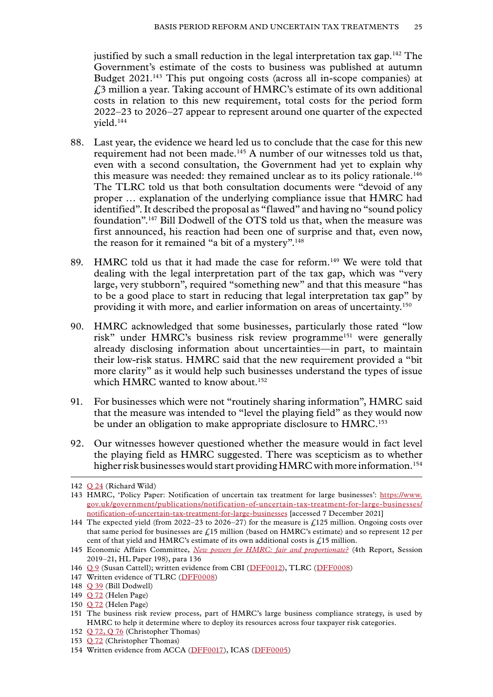justified by such a small reduction in the legal interpretation tax gap.<sup>142</sup> The Government's estimate of the costs to business was published at autumn Budget 2021.<sup>143</sup> This put ongoing costs (across all in-scope companies) at £3 million a year. Taking account of HMRC's estimate of its own additional costs in relation to this new requirement, total costs for the period form 2022–23 to 2026–27 appear to represent around one quarter of the expected yield.144

- 88. Last year, the evidence we heard led us to conclude that the case for this new requirement had not been made.<sup>145</sup> A number of our witnesses told us that, even with a second consultation, the Government had yet to explain why this measure was needed: they remained unclear as to its policy rationale.<sup>146</sup> The TLRC told us that both consultation documents were "devoid of any proper … explanation of the underlying compliance issue that HMRC had identified". It described the proposal as "flawed" and having no "sound policy foundation".147 Bill Dodwell of the OTS told us that, when the measure was first announced, his reaction had been one of surprise and that, even now, the reason for it remained "a bit of a mystery".<sup>148</sup>
- 89. HMRC told us that it had made the case for reform.<sup>149</sup> We were told that dealing with the legal interpretation part of the tax gap, which was "very large, very stubborn", required "something new" and that this measure "has to be a good place to start in reducing that legal interpretation tax gap" by providing it with more, and earlier information on areas of uncertainty.150
- 90. HMRC acknowledged that some businesses, particularly those rated "low risk" under HMRC's business risk review programme<sup>151</sup> were generally already disclosing information about uncertainties—in part, to maintain their low-risk status. HMRC said that the new requirement provided a "bit more clarity" as it would help such businesses understand the types of issue which HMRC wanted to know about.<sup>152</sup>
- 91. For businesses which were not "routinely sharing information", HMRC said that the measure was intended to "level the playing field" as they would now be under an obligation to make appropriate disclosure to HMRC.<sup>153</sup>
- 92. Our witnesses however questioned whether the measure would in fact level the playing field as HMRC suggested. There was scepticism as to whether higher risk businesses would start providing HMRC with more information.<sup>154</sup>

150 [Q 72](https://committees.parliament.uk/oralevidence/2981/html/) (Helen Page)

<sup>142</sup> [Q 24](https://committees.parliament.uk/oralevidence/2803/html/) (Richard Wild)

<sup>143</sup> HMRC, 'Policy Paper: Notification of uncertain tax treatment for large businesses': [https://www.](https://www.gov.uk/government/publications/notification-of-uncertain-tax-treatment-for-large-businesses/notification-of-uncertain-tax-treatment-for-large-businesses) [gov.uk/government/publications/notification-of-uncertain-tax-treatment-for-large-businesses/](https://www.gov.uk/government/publications/notification-of-uncertain-tax-treatment-for-large-businesses/notification-of-uncertain-tax-treatment-for-large-businesses) [notification-of-uncertain-tax-treatment-for-large-businesses](https://www.gov.uk/government/publications/notification-of-uncertain-tax-treatment-for-large-businesses/notification-of-uncertain-tax-treatment-for-large-businesses) [accessed 7 December 2021]

<sup>144</sup> The expected yield (from 2022–23 to 2026–27) for the measure is  $\zeta$ 125 million. Ongoing costs over that same period for businesses are  $f<sub>i</sub>15$  million (based on HMRC's estimate) and so represent 12 per cent of that yield and HMRC's estimate of its own additional costs is  $f<sub>i</sub>15$  million.

<sup>145</sup> Economic Affairs Committee, *[New powers for HMRC: fair and proportionate?](https://publications.parliament.uk/pa/ld5801/ldselect/ldeconaf/198/19802.htm)* (4th Report, Session 2019–21, HL Paper 198), para 136

<sup>146</sup> [Q 9](https://committees.parliament.uk/oralevidence/2802/html/) (Susan Cattell); written evidence from CBI ([DFF0012\)](https://committees.parliament.uk/writtenevidence/39956/html/), TLRC ([DFF0008\)](https://committees.parliament.uk/writtenevidence/39945/html/)

<sup>147</sup> Written evidence of TLRC ([DFF0008](https://committees.parliament.uk/writtenevidence/39945/html/))

<sup>148</sup> [Q 39](https://committees.parliament.uk/oralevidence/2871/html/) (Bill Dodwell)

<sup>149</sup> [Q 72](https://committees.parliament.uk/oralevidence/2981/html/) (Helen Page)

<sup>151</sup> The business risk review process, part of HMRC's large business compliance strategy, is used by HMRC to help it determine where to deploy its resources across four taxpayer risk categories.

<sup>152</sup> [Q 72, Q 76](https://committees.parliament.uk/oralevidence/2981/html/) (Christopher Thomas)

<sup>153</sup> [Q 72](https://committees.parliament.uk/oralevidence/2981/html/) (Christopher Thomas)

<sup>154</sup> Written evidence from ACCA ([DFF0017\)](https://committees.parliament.uk/writtenevidence/40368/html/), ICAS [\(DFF0005\)](https://committees.parliament.uk/writtenevidence/39928/html/)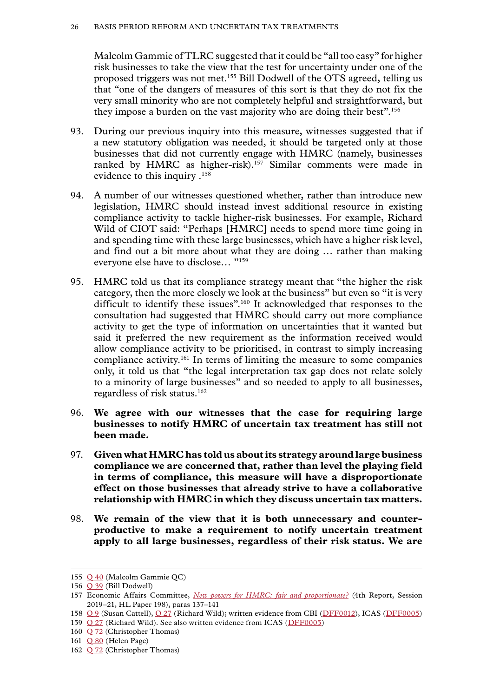Malcolm Gammie of TLRC suggested that it could be "all too easy" for higher risk businesses to take the view that the test for uncertainty under one of the proposed triggers was not met.155 Bill Dodwell of the OTS agreed, telling us that "one of the dangers of measures of this sort is that they do not fix the very small minority who are not completely helpful and straightforward, but they impose a burden on the vast majority who are doing their best".156

- 93. During our previous inquiry into this measure, witnesses suggested that if a new statutory obligation was needed, it should be targeted only at those businesses that did not currently engage with HMRC (namely, businesses ranked by HMRC as higher-risk).<sup>157</sup> Similar comments were made in evidence to this inquiry .158
- 94. A number of our witnesses questioned whether, rather than introduce new legislation, HMRC should instead invest additional resource in existing compliance activity to tackle higher-risk businesses. For example, Richard Wild of CIOT said: "Perhaps [HMRC] needs to spend more time going in and spending time with these large businesses, which have a higher risk level, and find out a bit more about what they are doing … rather than making everyone else have to disclose… "159
- 95. HMRC told us that its compliance strategy meant that "the higher the risk category, then the more closely we look at the business" but even so "it is very difficult to identify these issues".<sup>160</sup> It acknowledged that responses to the consultation had suggested that HMRC should carry out more compliance activity to get the type of information on uncertainties that it wanted but said it preferred the new requirement as the information received would allow compliance activity to be prioritised, in contrast to simply increasing compliance activity.161 In terms of limiting the measure to some companies only, it told us that "the legal interpretation tax gap does not relate solely to a minority of large businesses" and so needed to apply to all businesses, regardless of risk status.162
- 96. **We agree with our witnesses that the case for requiring large businesses to notify HMRC of uncertain tax treatment has still not been made.**
- 97. **Given what HMRC has told us about its strategy around large business compliance we are concerned that, rather than level the playing field in terms of compliance, this measure will have a disproportionate effect on those businesses that already strive to have a collaborative relationship with HMRC in which they discuss uncertain tax matters.**
- 98. **We remain of the view that it is both unnecessary and counterproductive to make a requirement to notify uncertain treatment apply to all large businesses, regardless of their risk status. We are**

- 158 [Q 9](https://committees.parliament.uk/oralevidence/2802/html/) (Susan Cattell), [Q 27](https://committees.parliament.uk/oralevidence/2803/html/) (Richard Wild); written evidence from CBI ([DFF0012\)](https://committees.parliament.uk/writtenevidence/39956/html/), ICAS ([DFF0005\)](https://committees.parliament.uk/writtenevidence/39928/html/)
- 159 [Q 27](https://committees.parliament.uk/oralevidence/2803/html/) (Richard Wild). See also written evidence from ICAS ([DFF0005](https://committees.parliament.uk/writtenevidence/39928/html/))
- 160 [Q 72](https://committees.parliament.uk/oralevidence/2981/html/) (Christopher Thomas)
- 161 [Q 80](https://committees.parliament.uk/oralevidence/2981/html/) (Helen Page)

<sup>155</sup> [Q 40](https://committees.parliament.uk/oralevidence/2871/html/) (Malcolm Gammie QC)

<sup>156</sup> [Q 39](https://committees.parliament.uk/oralevidence/2871/html/) (Bill Dodwell)

<sup>157</sup> Economic Affairs Committee, *[New powers for HMRC: fair and proportionate?](https://publications.parliament.uk/pa/ld5801/ldselect/ldeconaf/198/19802.htm)* (4th Report, Session 2019–21, HL Paper 198), paras 137–141

<sup>162</sup> [Q 72](https://committees.parliament.uk/oralevidence/2981/html/) (Christopher Thomas)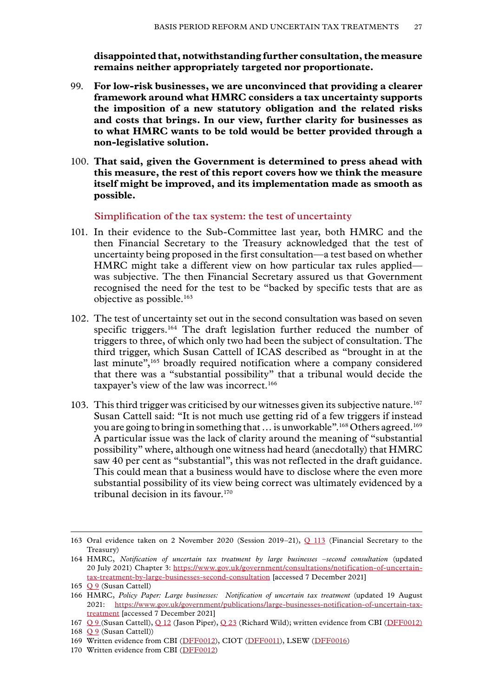<span id="page-28-0"></span>**disappointed that, notwithstanding further consultation, the measure remains neither appropriately targeted nor proportionate.**

- 99. **For low-risk businesses, we are unconvinced that providing a clearer framework around what HMRC considers a tax uncertainty supports the imposition of a new statutory obligation and the related risks and costs that brings. In our view, further clarity for businesses as to what HMRC wants to be told would be better provided through a non-legislative solution.**
- 100. **That said, given the Government is determined to press ahead with this measure, the rest of this report covers how we think the measure itself might be improved, and its implementation made as smooth as possible.**

#### **Simplification of the tax system: the test of uncertainty**

- 101. In their evidence to the Sub-Committee last year, both HMRC and the then Financial Secretary to the Treasury acknowledged that the test of uncertainty being proposed in the first consultation—a test based on whether HMRC might take a different view on how particular tax rules applied was subjective. The then Financial Secretary assured us that Government recognised the need for the test to be "backed by specific tests that are as objective as possible.163
- 102. The test of uncertainty set out in the second consultation was based on seven specific triggers.<sup>164</sup> The draft legislation further reduced the number of triggers to three, of which only two had been the subject of consultation. The third trigger, which Susan Cattell of ICAS described as "brought in at the last minute",<sup>165</sup> broadly required notification where a company considered that there was a "substantial possibility" that a tribunal would decide the taxpayer's view of the law was incorrect.166
- 103. This third trigger was criticised by our witnesses given its subjective nature.167 Susan Cattell said: "It is not much use getting rid of a few triggers if instead you are going to bring in something that ... is unworkable".<sup>168</sup> Others agreed.<sup>169</sup> A particular issue was the lack of clarity around the meaning of "substantial possibility" where, although one witness had heard (anecdotally) that HMRC saw 40 per cent as "substantial", this was not reflected in the draft guidance. This could mean that a business would have to disclose where the even more substantial possibility of its view being correct was ultimately evidenced by a tribunal decision in its favour.170

<sup>163</sup> Oral evidence taken on 2 November 2020 (Session 2019–21), [Q 113](https://committees.parliament.uk/oralevidence/1225/html/) (Financial Secretary to the Treasury)

<sup>164</sup> HMRC, *Notification of uncertain tax treatment by large businesses –second consultation* (updated 20 July 2021) Chapter 3: [https://www.gov.uk/government/consultations/notification-of-uncertain](https://www.gov.uk/government/consultations/notification-of-uncertain-tax-treatment-by-large-businesses-second-consultation)[tax-treatment-by-large-businesses-second-consultation](https://www.gov.uk/government/consultations/notification-of-uncertain-tax-treatment-by-large-businesses-second-consultation) [accessed 7 December 2021]

<sup>165</sup> [Q 9](https://committees.parliament.uk/oralevidence/2802/html/) (Susan Cattell)

<sup>166</sup> HMRC, *Policy Paper: Large businesses: Notification of uncertain tax treatment* (updated 19 August 2021: [https://www.gov.uk/government/publications/large-businesses-notification-of-uncertain-tax](https://www.gov.uk/government/publications/large-businesses-notification-of-uncertain-tax-treatment)[treatment](https://www.gov.uk/government/publications/large-businesses-notification-of-uncertain-tax-treatment) [accessed 7 December 2021]

<sup>167</sup> [Q 9](https://committees.parliament.uk/oralevidence/2802/html/) (Susan Cattell), [Q 12](https://committees.parliament.uk/oralevidence/2802/html/) (Jason Piper), [Q 23](https://committees.parliament.uk/oralevidence/2803/html/) (Richard Wild); written evidence from CBI ([DFF0012\)](https://committees.parliament.uk/writtenevidence/39956/html/)

<sup>168</sup> [Q 9](https://committees.parliament.uk/oralevidence/2802/html/) (Susan Cattell))

<sup>169</sup> Written evidence from CBI ([DFF0012\)](https://committees.parliament.uk/writtenevidence/39956/html/), CIOT ([DFF0011\)](https://committees.parliament.uk/writtenevidence/39953/html/), LSEW ([DFF0016](https://committees.parliament.uk/writtenevidence/40101/html/))

<sup>170</sup> Written evidence from CBI ([DFF0012\)](https://committees.parliament.uk/writtenevidence/39956/html/)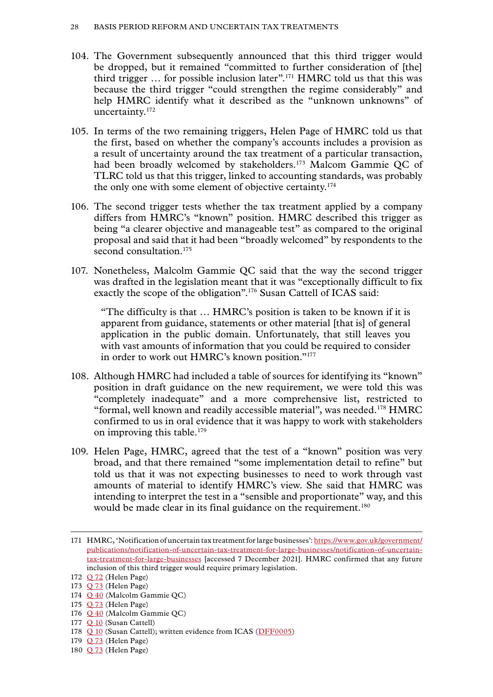- 104. The Government subsequently announced that this third trigger would be dropped, but it remained "committed to further consideration of [the] third trigger  $\ldots$  for possible inclusion later".<sup>171</sup> HMRC told us that this was because the third trigger "could strengthen the regime considerably" and help HMRC identify what it described as the "unknown unknowns" of uncertainty.172
- 105. In terms of the two remaining triggers, Helen Page of HMRC told us that the first, based on whether the company's accounts includes a provision as a result of uncertainty around the tax treatment of a particular transaction, had been broadly welcomed by stakeholders.<sup>173</sup> Malcom Gammie QC of TLRC told us that this trigger, linked to accounting standards, was probably the only one with some element of objective certainty.174
- 106. The second trigger tests whether the tax treatment applied by a company differs from HMRC's "known" position. HMRC described this trigger as being "a clearer objective and manageable test" as compared to the original proposal and said that it had been "broadly welcomed" by respondents to the second consultation.<sup>175</sup>
- 107. Nonetheless, Malcolm Gammie QC said that the way the second trigger was drafted in the legislation meant that it was "exceptionally difficult to fix exactly the scope of the obligation".<sup>176</sup> Susan Cattell of ICAS said:

"The difficulty is that … HMRC's position is taken to be known if it is apparent from guidance, statements or other material [that is] of general application in the public domain. Unfortunately, that still leaves you with vast amounts of information that you could be required to consider in order to work out HMRC's known position."<sup>177</sup>

- 108. Although HMRC had included a table of sources for identifying its "known" position in draft guidance on the new requirement, we were told this was "completely inadequate" and a more comprehensive list, restricted to "formal, well known and readily accessible material", was needed.178 HMRC confirmed to us in oral evidence that it was happy to work with stakeholders on improving this table.<sup>179</sup>
- 109. Helen Page, HMRC, agreed that the test of a "known" position was very broad, and that there remained "some implementation detail to refine" but told us that it was not expecting businesses to need to work through vast amounts of material to identify HMRC's view. She said that HMRC was intending to interpret the test in a "sensible and proportionate" way, and this would be made clear in its final guidance on the requirement.<sup>180</sup>

- 176 [Q 40](https://committees.parliament.uk/oralevidence/2871/html/) (Malcolm Gammie QC)
- 177 [Q 10](https://committees.parliament.uk/oralevidence/2802/html/) (Susan Cattell)
- 178 [Q 10](https://committees.parliament.uk/oralevidence/2802/html/) (Susan Cattell); written evidence from ICAS ([DFF0005\)](https://committees.parliament.uk/writtenevidence/39928/html/)
- 179 [Q 73](https://committees.parliament.uk/oralevidence/2981/html/) (Helen Page)
- 180 [Q 73](https://committees.parliament.uk/oralevidence/2981/html/) (Helen Page)

<sup>171</sup> HMRC, 'Notification of uncertain tax treatment for large businesses': [https://www.gov.uk/government/](https://www.gov.uk/government/publications/notification-of-uncertain-tax-treatment-for-large-businesses/notification-of-uncertain-tax-treatment-for-large-businesses) [publications/notification-of-uncertain-tax-treatment-for-large-businesses/notification-of-uncertain](https://www.gov.uk/government/publications/notification-of-uncertain-tax-treatment-for-large-businesses/notification-of-uncertain-tax-treatment-for-large-businesses)[tax-treatment-for-large-businesses](https://www.gov.uk/government/publications/notification-of-uncertain-tax-treatment-for-large-businesses/notification-of-uncertain-tax-treatment-for-large-businesses) [accessed 7 December 2021]. HMRC confirmed that any future inclusion of this third trigger would require primary legislation.

<sup>172</sup> [Q 72](https://committees.parliament.uk/oralevidence/2981/html/) (Helen Page)

<sup>173</sup> [Q 73](https://committees.parliament.uk/oralevidence/2981/html/) (Helen Page)

<sup>174</sup> [Q 40](https://committees.parliament.uk/oralevidence/2871/html/) (Malcolm Gammie QC)

<sup>175</sup> [Q 73](https://committees.parliament.uk/oralevidence/2981/html/) (Helen Page)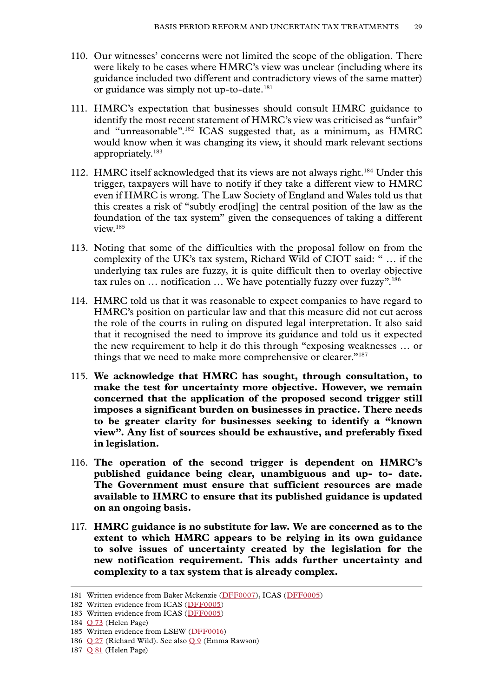- 110. Our witnesses' concerns were not limited the scope of the obligation. There were likely to be cases where HMRC's view was unclear (including where its guidance included two different and contradictory views of the same matter) or guidance was simply not up-to-date.<sup>181</sup>
- 111. HMRC's expectation that businesses should consult HMRC guidance to identify the most recent statement of HMRC's view was criticised as "unfair" and "unreasonable".182 ICAS suggested that, as a minimum, as HMRC would know when it was changing its view, it should mark relevant sections appropriately.183
- 112. HMRC itself acknowledged that its views are not always right.184 Under this trigger, taxpayers will have to notify if they take a different view to HMRC even if HMRC is wrong. The Law Society of England and Wales told us that this creates a risk of "subtly erod[ing] the central position of the law as the foundation of the tax system" given the consequences of taking a different view.185
- 113. Noting that some of the difficulties with the proposal follow on from the complexity of the UK's tax system, Richard Wild of CIOT said: " … if the underlying tax rules are fuzzy, it is quite difficult then to overlay objective tax rules on … notification … We have potentially fuzzy over fuzzy".186
- 114. HMRC told us that it was reasonable to expect companies to have regard to HMRC's position on particular law and that this measure did not cut across the role of the courts in ruling on disputed legal interpretation. It also said that it recognised the need to improve its guidance and told us it expected the new requirement to help it do this through "exposing weaknesses … or things that we need to make more comprehensive or clearer."<sup>187</sup>
- 115. **We acknowledge that HMRC has sought, through consultation, to make the test for uncertainty more objective. However, we remain concerned that the application of the proposed second trigger still imposes a significant burden on businesses in practice. There needs to be greater clarity for businesses seeking to identify a "known view". Any list of sources should be exhaustive, and preferably fixed in legislation.**
- 116. **The operation of the second trigger is dependent on HMRC's published guidance being clear, unambiguous and up- to- date. The Government must ensure that sufficient resources are made available to HMRC to ensure that its published guidance is updated on an ongoing basis.**
- 117. **HMRC guidance is no substitute for law. We are concerned as to the extent to which HMRC appears to be relying in its own guidance to solve issues of uncertainty created by the legislation for the new notification requirement. This adds further uncertainty and complexity to a tax system that is already complex.**

<sup>181</sup> Written evidence from Baker Mckenzie ([DFF0007\)](https://committees.parliament.uk/writtenevidence/39938/html/), ICAS ([DFF0005\)](https://committees.parliament.uk/writtenevidence/39928/html/)

<sup>182</sup> Written evidence from ICAS ([DFF0005\)](https://committees.parliament.uk/writtenevidence/39928/html/)

<sup>183</sup> Written evidence from ICAS ([DFF0005\)](https://committees.parliament.uk/writtenevidence/39928/html/)

<sup>184</sup> [Q 73](https://committees.parliament.uk/oralevidence/2981/html/) (Helen Page)

<sup>185</sup> Written evidence from LSEW ([DFF0016](https://committees.parliament.uk/writtenevidence/40101/html/))

<sup>186</sup> [Q 27](https://committees.parliament.uk/oralevidence/2803/html/) (Richard Wild). See also [Q 9](https://committees.parliament.uk/oralevidence/2802/html/) (Emma Rawson)

<sup>187</sup> [Q 81](https://committees.parliament.uk/oralevidence/2981/html/) (Helen Page)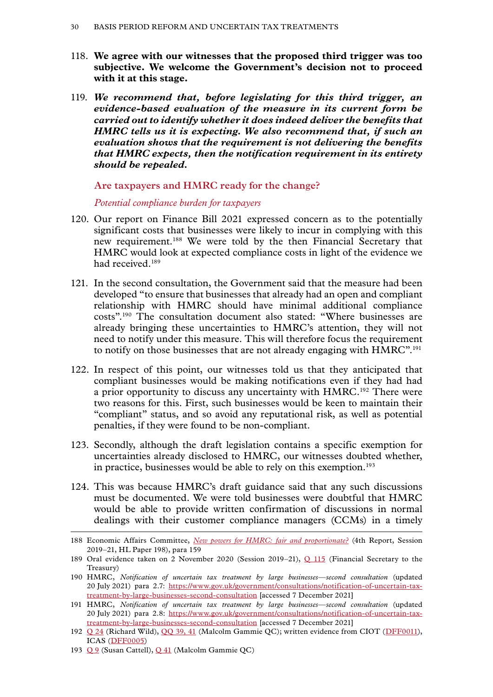- <span id="page-31-0"></span>118. **We agree with our witnesses that the proposed third trigger was too subjective. We welcome the Government's decision not to proceed with it at this stage.**
- 119. *We recommend that, before legislating for this third trigger, an evidence-based evaluation of the measure in its current form be carried out to identify whether it does indeed deliver the benefits that HMRC tells us it is expecting. We also recommend that, if such an evaluation shows that the requirement is not delivering the benefits that HMRC expects, then the notification requirement in its entirety should be repealed.*

**Are taxpayers and HMRC ready for the change?**

*Potential compliance burden for taxpayers*

- 120. Our report on Finance Bill 2021 expressed concern as to the potentially significant costs that businesses were likely to incur in complying with this new requirement.188 We were told by the then Financial Secretary that HMRC would look at expected compliance costs in light of the evidence we had received<sup>189</sup>
- 121. In the second consultation, the Government said that the measure had been developed "to ensure that businesses that already had an open and compliant relationship with HMRC should have minimal additional compliance costs".190 The consultation document also stated: "Where businesses are already bringing these uncertainties to HMRC's attention, they will not need to notify under this measure. This will therefore focus the requirement to notify on those businesses that are not already engaging with HMRC".<sup>191</sup>
- 122. In respect of this point, our witnesses told us that they anticipated that compliant businesses would be making notifications even if they had had a prior opportunity to discuss any uncertainty with HMRC.<sup>192</sup> There were two reasons for this. First, such businesses would be keen to maintain their "compliant" status, and so avoid any reputational risk, as well as potential penalties, if they were found to be non-compliant.
- 123. Secondly, although the draft legislation contains a specific exemption for uncertainties already disclosed to HMRC, our witnesses doubted whether, in practice, businesses would be able to rely on this exemption.<sup>193</sup>
- 124. This was because HMRC's draft guidance said that any such discussions must be documented. We were told businesses were doubtful that HMRC would be able to provide written confirmation of discussions in normal dealings with their customer compliance managers (CCMs) in a timely

<sup>188</sup> Economic Affairs Committee, *[New powers for HMRC: fair and proportionate?](https://publications.parliament.uk/pa/ld5801/ldselect/ldeconaf/198/19802.htm)* (4th Report, Session 2019–21, HL Paper 198), para 159

<sup>189</sup> Oral evidence taken on 2 November 2020 (Session 2019–21), [Q 115](https://committees.parliament.uk/oralevidence/1225/html/) (Financial Secretary to the Treasury)

<sup>190</sup> HMRC, *Notification of uncertain tax treatment by large businesses—second consultation* (updated 20 July 2021) para 2.7: [https://www.gov.uk/government/consultations/notification-of-uncertain-tax](https://www.gov.uk/government/consultations/notification-of-uncertain-tax-treatment-by-large-businesses-second-consultation)[treatment-by-large-businesses-second-consultation](https://www.gov.uk/government/consultations/notification-of-uncertain-tax-treatment-by-large-businesses-second-consultation) [accessed 7 December 2021]

<sup>191</sup> HMRC, *Notification of uncertain tax treatment by large businesses—second consultation* (updated 20 July 2021) para 2.8: [https://www.gov.uk/government/consultations/notification-of-uncertain-tax](https://www.gov.uk/government/consultations/notification-of-uncertain-tax-treatment-by-large-businesses-second-consultation)[treatment-by-large-businesses-second-consultation](https://www.gov.uk/government/consultations/notification-of-uncertain-tax-treatment-by-large-businesses-second-consultation) [accessed 7 December 2021]

<sup>192</sup> [Q 24](https://committees.parliament.uk/oralevidence/2803/html/) (Richard Wild), [QQ 39, 41](https://committees.parliament.uk/oralevidence/2871/html/) (Malcolm Gammie QC); written evidence from CIOT ([DFF0011](https://committees.parliament.uk/writtenevidence/39953/html/)), ICAS ([DFF0005](https://committees.parliament.uk/writtenevidence/39928/html/))

<sup>193</sup> [Q 9](https://committees.parliament.uk/oralevidence/2802/html/) (Susan Cattell), [Q 41](https://committees.parliament.uk/oralevidence/2871/html/) (Malcolm Gammie QC)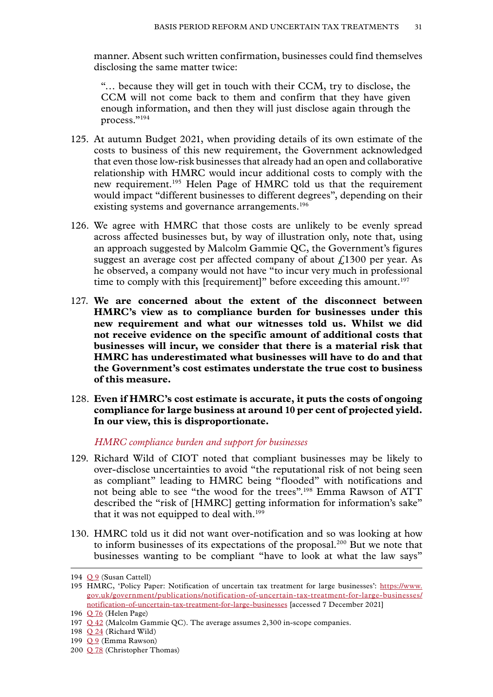<span id="page-32-0"></span>manner. Absent such written confirmation, businesses could find themselves disclosing the same matter twice:

"… because they will get in touch with their CCM, try to disclose, the CCM will not come back to them and confirm that they have given enough information, and then they will just disclose again through the process."194

- 125. At autumn Budget 2021, when providing details of its own estimate of the costs to business of this new requirement, the Government acknowledged that even those low-risk businesses that already had an open and collaborative relationship with HMRC would incur additional costs to comply with the new requirement.195 Helen Page of HMRC told us that the requirement would impact "different businesses to different degrees", depending on their existing systems and governance arrangements.<sup>196</sup>
- 126. We agree with HMRC that those costs are unlikely to be evenly spread across affected businesses but, by way of illustration only, note that, using an approach suggested by Malcolm Gammie QC, the Government's figures suggest an average cost per affected company of about  $\ell$ 1300 per year. As he observed, a company would not have "to incur very much in professional time to comply with this [requirement]" before exceeding this amount.<sup>197</sup>
- 127. **We are concerned about the extent of the disconnect between HMRC's view as to compliance burden for businesses under this new requirement and what our witnesses told us. Whilst we did not receive evidence on the specific amount of additional costs that businesses will incur, we consider that there is a material risk that HMRC has underestimated what businesses will have to do and that the Government's cost estimates understate the true cost to business of this measure.**
- 128. **Even if HMRC's cost estimate is accurate, it puts the costs of ongoing compliance for large business at around 10 per cent of projected yield. In our view, this is disproportionate.**

*HMRC compliance burden and support for businesses*

- 129. Richard Wild of CIOT noted that compliant businesses may be likely to over-disclose uncertainties to avoid "the reputational risk of not being seen as compliant" leading to HMRC being "flooded" with notifications and not being able to see "the wood for the trees".198 Emma Rawson of ATT described the "risk of [HMRC] getting information for information's sake" that it was not equipped to deal with.<sup>199</sup>
- 130. HMRC told us it did not want over-notification and so was looking at how to inform businesses of its expectations of the proposal.200 But we note that businesses wanting to be compliant "have to look at what the law says"

<sup>194</sup> [Q 9](https://committees.parliament.uk/oralevidence/2802/html/) (Susan Cattell)

<sup>195</sup> HMRC, 'Policy Paper: Notification of uncertain tax treatment for large businesses': [https://www.](https://www.gov.uk/government/publications/notification-of-uncertain-tax-treatment-for-large-businesses/notification-of-uncertain-tax-treatment-for-large-businesses) [gov.uk/government/publications/notification-of-uncertain-tax-treatment-for-large-businesses/](https://www.gov.uk/government/publications/notification-of-uncertain-tax-treatment-for-large-businesses/notification-of-uncertain-tax-treatment-for-large-businesses) [notification-of-uncertain-tax-treatment-for-large-businesses](https://www.gov.uk/government/publications/notification-of-uncertain-tax-treatment-for-large-businesses/notification-of-uncertain-tax-treatment-for-large-businesses) [accessed 7 December 2021]

<sup>196</sup> [Q 76](https://committees.parliament.uk/oralevidence/2981/html/) (Helen Page)

<sup>197</sup> [Q 42](https://committees.parliament.uk/oralevidence/2871/html/) (Malcolm Gammie QC). The average assumes 2,300 in-scope companies.

<sup>198</sup> [Q 24](https://committees.parliament.uk/oralevidence/2803/html/) (Richard Wild)

<sup>199</sup> [Q 9](https://committees.parliament.uk/oralevidence/2802/html/) (Emma Rawson)

<sup>200</sup> [Q 78](https://committees.parliament.uk/oralevidence/2981/html/) (Christopher Thomas)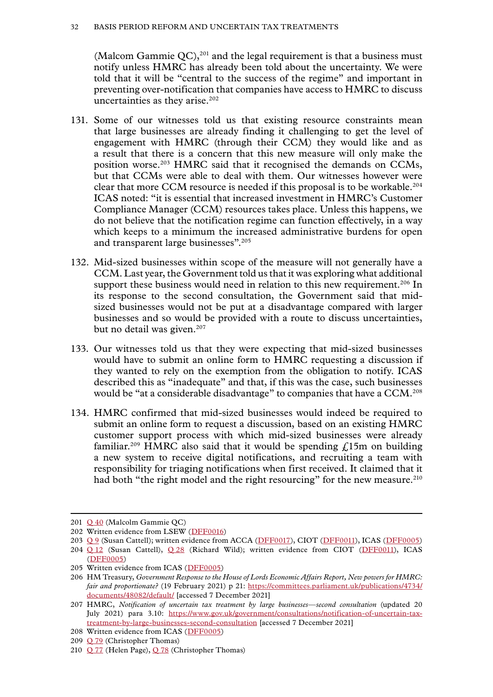(Malcom Gammie  $QC$ ),<sup>201</sup> and the legal requirement is that a business must notify unless HMRC has already been told about the uncertainty. We were told that it will be "central to the success of the regime" and important in preventing over-notification that companies have access to HMRC to discuss uncertainties as they arise.<sup>202</sup>

- 131. Some of our witnesses told us that existing resource constraints mean that large businesses are already finding it challenging to get the level of engagement with HMRC (through their CCM) they would like and as a result that there is a concern that this new measure will only make the position worse.203 HMRC said that it recognised the demands on CCMs, but that CCMs were able to deal with them. Our witnesses however were clear that more CCM resource is needed if this proposal is to be workable.<sup>204</sup> ICAS noted: "it is essential that increased investment in HMRC's Customer Compliance Manager (CCM) resources takes place. Unless this happens, we do not believe that the notification regime can function effectively, in a way which keeps to a minimum the increased administrative burdens for open and transparent large businesses".205
- 132. Mid-sized businesses within scope of the measure will not generally have a CCM. Last year, the Government told us that it was exploring what additional support these business would need in relation to this new requirement.<sup>206</sup> In its response to the second consultation, the Government said that midsized businesses would not be put at a disadvantage compared with larger businesses and so would be provided with a route to discuss uncertainties, but no detail was given.<sup>207</sup>
- 133. Our witnesses told us that they were expecting that mid-sized businesses would have to submit an online form to HMRC requesting a discussion if they wanted to rely on the exemption from the obligation to notify. ICAS described this as "inadequate" and that, if this was the case, such businesses would be "at a considerable disadvantage" to companies that have a CCM.<sup>208</sup>
- 134. HMRC confirmed that mid-sized businesses would indeed be required to submit an online form to request a discussion, based on an existing HMRC customer support process with which mid-sized businesses were already familiar.<sup>209</sup> HMRC also said that it would be spending  $f<sub>i</sub>15m$  on building a new system to receive digital notifications, and recruiting a team with responsibility for triaging notifications when first received. It claimed that it had both "the right model and the right resourcing" for the new measure.<sup>210</sup>

<sup>201</sup> [Q 40](https://committees.parliament.uk/oralevidence/2871/html/) (Malcolm Gammie QC)

<sup>202</sup> Written evidence from LSEW ([DFF0016](https://committees.parliament.uk/writtenevidence/40101/html/))

<sup>203</sup> [Q 9](https://committees.parliament.uk/oralevidence/2802/html/) (Susan Cattell); written evidence from ACCA ([DFF0017\)](https://committees.parliament.uk/writtenevidence/40368/html/), CIOT ([DFF0011\)](https://committees.parliament.uk/writtenevidence/39953/html/), ICAS ([DFF0005\)](https://committees.parliament.uk/writtenevidence/39928/html/)

<sup>204</sup> Q [12](https://committees.parliament.uk/oralevidence/2802/html/) (Susan Cattell), Q [28](https://committees.parliament.uk/oralevidence/2803/html/) (Richard Wild); written evidence from CIOT ([DFF0011\)](https://committees.parliament.uk/writtenevidence/39953/html/), ICAS ([DFF0005](https://committees.parliament.uk/writtenevidence/39928/html/))

<sup>205</sup> Written evidence from ICAS ([DFF0005\)](https://committees.parliament.uk/writtenevidence/39928/html/)

<sup>206</sup> HM Treasury, *Government Response to the House of Lords Economic Affairs Report, New powers for HMRC: fair and proportionate?* (19 February 2021) p 21: [https://committees.parliament.uk/publications/4734/](https://committees.parliament.uk/publications/4734/documents/48082/default/) [documents/48082/default/](https://committees.parliament.uk/publications/4734/documents/48082/default/) [accessed 7 December 2021]

<sup>207</sup> HMRC, *Notification of uncertain tax treatment by large businesses—second consultation* (updated 20 July 2021) para 3.10: [https://www.gov.uk/government/consultations/notification-of-uncertain-tax](https://www.gov.uk/government/consultations/notification-of-uncertain-tax-treatment-by-large-businesses-second-consultation)[treatment-by-large-businesses-second-consultation](https://www.gov.uk/government/consultations/notification-of-uncertain-tax-treatment-by-large-businesses-second-consultation) [accessed 7 December 2021]

<sup>208</sup> Written evidence from ICAS ([DFF0005\)](https://committees.parliament.uk/writtenevidence/39928/html/)

<sup>209</sup> [Q 79](https://committees.parliament.uk/oralevidence/2981/html/) (Christopher Thomas)

<sup>210</sup> [Q 77](https://committees.parliament.uk/oralevidence/2981/html/) (Helen Page), [Q 78](https://committees.parliament.uk/oralevidence/2981/html/) (Christopher Thomas)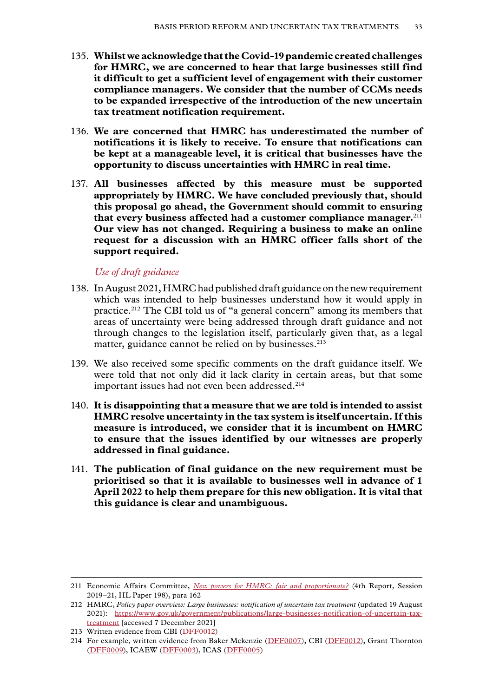- <span id="page-34-0"></span>135. **Whilst we acknowledge that the Covid-19 pandemic created challenges for HMRC, we are concerned to hear that large businesses still find it difficult to get a sufficient level of engagement with their customer compliance managers. We consider that the number of CCMs needs to be expanded irrespective of the introduction of the new uncertain tax treatment notification requirement.**
- 136. **We are concerned that HMRC has underestimated the number of notifications it is likely to receive. To ensure that notifications can be kept at a manageable level, it is critical that businesses have the opportunity to discuss uncertainties with HMRC in real time.**
- 137. **All businesses affected by this measure must be supported appropriately by HMRC. We have concluded previously that, should this proposal go ahead, the Government should commit to ensuring that every business affected had a customer compliance manager.**<sup>211</sup> **Our view has not changed. Requiring a business to make an online request for a discussion with an HMRC officer falls short of the support required.**

#### *Use of draft guidance*

- 138. In August 2021, HMRC had published draft guidance on the new requirement which was intended to help businesses understand how it would apply in practice.212 The CBI told us of "a general concern" among its members that areas of uncertainty were being addressed through draft guidance and not through changes to the legislation itself, particularly given that, as a legal matter, guidance cannot be relied on by businesses.<sup>213</sup>
- 139. We also received some specific comments on the draft guidance itself. We were told that not only did it lack clarity in certain areas, but that some important issues had not even been addressed.<sup>214</sup>
- 140. **It is disappointing that a measure that we are told is intended to assist HMRC resolve uncertainty in the tax system is itself uncertain. If this measure is introduced, we consider that it is incumbent on HMRC to ensure that the issues identified by our witnesses are properly addressed in final guidance.**
- 141. **The publication of final guidance on the new requirement must be prioritised so that it is available to businesses well in advance of 1 April 2022 to help them prepare for this new obligation. It is vital that this guidance is clear and unambiguous.**

<sup>211</sup> Economic Affairs Committee, *[New powers for HMRC: fair and proportionate?](https://publications.parliament.uk/pa/ld5801/ldselect/ldeconaf/198/19802.htm)* (4th Report, Session 2019–21, HL Paper 198), para 162

<sup>212</sup> HMRC, *Policy paper overview: Large businesses: notification of uncertain tax treatment* (updated 19 August 2021): [https://www.gov.uk/government/publications/large-businesses-notification-of-uncertain-tax](https://www.gov.uk/government/publications/large-businesses-notification-of-uncertain-tax-treatment)[treatment](https://www.gov.uk/government/publications/large-businesses-notification-of-uncertain-tax-treatment) [accessed 7 December 2021]

<sup>213</sup> Written evidence from CBI ([DFF0012\)](https://committees.parliament.uk/writtenevidence/39956/html/)

<sup>214</sup> For example, written evidence from Baker Mckenzie ([DFF0007](https://committees.parliament.uk/writtenevidence/39938/html/)), CBI ([DFF0012](https://committees.parliament.uk/writtenevidence/39956/html/)), Grant Thornton ([DFF0009\)](https://committees.parliament.uk/writtenevidence/39949/html/), ICAEW [\(DFF0003](https://committees.parliament.uk/writtenevidence/39915/html/)), ICAS ([DFF0005](https://committees.parliament.uk/writtenevidence/39928/html/))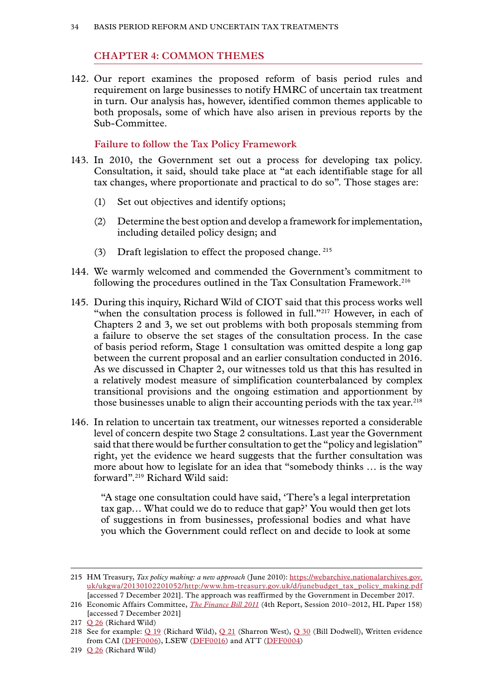#### **Chapter 4: COMMON THEMES**

<span id="page-35-0"></span>142. Our report examines the proposed reform of basis period rules and requirement on large businesses to notify HMRC of uncertain tax treatment in turn. Our analysis has, however, identified common themes applicable to both proposals, some of which have also arisen in previous reports by the Sub-Committee.

#### **Failure to follow the Tax Policy Framework**

- 143. In 2010, the Government set out a process for developing tax policy. Consultation, it said, should take place at "at each identifiable stage for all tax changes, where proportionate and practical to do so". Those stages are:
	- (1) Set out objectives and identify options;
	- (2) Determine the best option and develop a framework for implementation, including detailed policy design; and
	- (3) Draft legislation to effect the proposed change. <sup>215</sup>
- 144. We warmly welcomed and commended the Government's commitment to following the procedures outlined in the Tax Consultation Framework.<sup>216</sup>
- 145. During this inquiry, Richard Wild of CIOT said that this process works well "when the consultation process is followed in full."<sup>217</sup> However, in each of Chapters 2 and 3, we set out problems with both proposals stemming from a failure to observe the set stages of the consultation process. In the case of basis period reform, Stage 1 consultation was omitted despite a long gap between the current proposal and an earlier consultation conducted in 2016. As we discussed in Chapter 2, our witnesses told us that this has resulted in a relatively modest measure of simplification counterbalanced by complex transitional provisions and the ongoing estimation and apportionment by those businesses unable to align their accounting periods with the tax year.<sup>218</sup>
- 146. In relation to uncertain tax treatment, our witnesses reported a considerable level of concern despite two Stage 2 consultations. Last year the Government said that there would be further consultation to get the "policy and legislation" right, yet the evidence we heard suggests that the further consultation was more about how to legislate for an idea that "somebody thinks … is the way forward".219 Richard Wild said:

"A stage one consultation could have said, 'There's a legal interpretation tax gap… What could we do to reduce that gap?' You would then get lots of suggestions in from businesses, professional bodies and what have you which the Government could reflect on and decide to look at some

<sup>215</sup> HM Treasury, *Tax policy making: a new approach* (June 2010): [https://webarchive.nationalarchives.gov.](https://webarchive.nationalarchives.gov.uk/ukgwa/20130102201052/http:/www.hm-treasury.gov.uk/d/junebudget_tax_policy_making.pdf) [uk/ukgwa/20130102201052/http:/www.hm-treasury.gov.uk/d/junebudget\\_tax\\_policy\\_making.pdf](https://webarchive.nationalarchives.gov.uk/ukgwa/20130102201052/http:/www.hm-treasury.gov.uk/d/junebudget_tax_policy_making.pdf) [accessed 7 December 2021]. The approach was reaffirmed by the Government in December 2017.

<sup>216</sup> Economic Affairs Committee, *[The Finance Bill 2011](https://publications.parliament.uk/pa/ld201012/ldselect/ldeconaf/158/15802.htm)* (4th Report, Session 2010–2012, HL Paper 158) [accessed 7 December 2021]

<sup>217</sup> [Q 26](https://committees.parliament.uk/oralevidence/2803/html/) (Richard Wild)

<sup>218</sup> See for example: [Q 19](https://committees.parliament.uk/oralevidence/2803/html/) (Richard Wild), [Q 21](https://committees.parliament.uk/oralevidence/2803/html/) (Sharron West), [Q 30](https://committees.parliament.uk/oralevidence/2871/html/) (Bill Dodwell), Written evidence from CAI ([DFF0006](https://committees.parliament.uk/writtenevidence/39930/html/)), LSEW ([DFF0016](https://committees.parliament.uk/writtenevidence/40101/html/)) and ATT ([DFF0004\)](https://committees.parliament.uk/writtenevidence/39926/html/)

<sup>219</sup> [Q 26](https://committees.parliament.uk/oralevidence/2803/html/) (Richard Wild)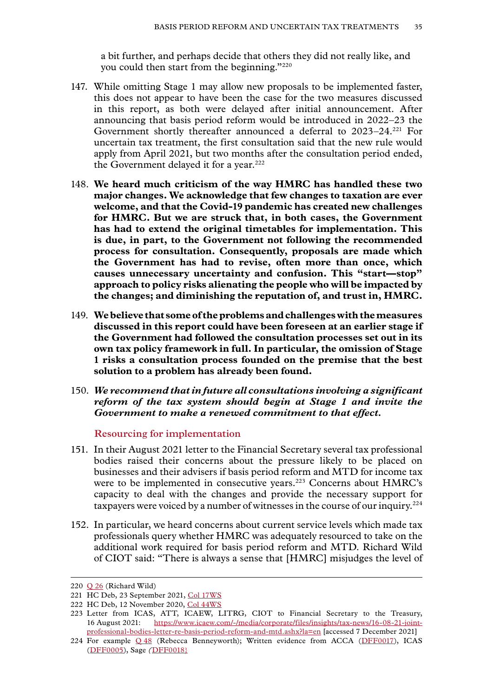a bit further, and perhaps decide that others they did not really like, and you could then start from the beginning."220

- <span id="page-36-0"></span>147. While omitting Stage 1 may allow new proposals to be implemented faster, this does not appear to have been the case for the two measures discussed in this report, as both were delayed after initial announcement. After announcing that basis period reform would be introduced in 2022–23 the Government shortly thereafter announced a deferral to 2023–24.221 For uncertain tax treatment, the first consultation said that the new rule would apply from April 2021, but two months after the consultation period ended, the Government delayed it for a year.<sup>222</sup>
- 148. **We heard much criticism of the way HMRC has handled these two major changes. We acknowledge that few changes to taxation are ever welcome, and that the Covid-19 pandemic has created new challenges for HMRC. But we are struck that, in both cases, the Government has had to extend the original timetables for implementation. This is due, in part, to the Government not following the recommended process for consultation. Consequently, proposals are made which the Government has had to revise, often more than once, which causes unnecessary uncertainty and confusion. This "start—stop" approach to policy risks alienating the people who will be impacted by the changes; and diminishing the reputation of, and trust in, HMRC.**
- 149. **We believe that some of the problems and challenges with the measures discussed in this report could have been foreseen at an earlier stage if the Government had followed the consultation processes set out in its own tax policy framework in full. In particular, the omission of Stage 1 risks a consultation process founded on the premise that the best solution to a problem has already been found.**
- 150. *We recommend that in future all consultations involving a significant reform of the tax system should begin at Stage 1 and invite the Government to make a renewed commitment to that effect.*

#### **Resourcing for implementation**

- 151. In their August 2021 letter to the Financial Secretary several tax professional bodies raised their concerns about the pressure likely to be placed on businesses and their advisers if basis period reform and MTD for income tax were to be implemented in consecutive years.<sup>223</sup> Concerns about HMRC's capacity to deal with the changes and provide the necessary support for taxpayers were voiced by a number of witnesses in the course of our inquiry.<sup>224</sup>
- 152. In particular, we heard concerns about current service levels which made tax professionals query whether HMRC was adequately resourced to take on the additional work required for basis period reform and MTD. Richard Wild of CIOT said: "There is always a sense that [HMRC] misjudges the level of

<sup>220</sup> [Q 26](https://committees.parliament.uk/oralevidence/2803/html/) (Richard Wild)

<sup>221</sup> HC Deb, 23 September 2021, [Col 17WS](https://questions-statements.parliament.uk/written-statements/detail/2021-09-23/hcws308)

<sup>222</sup> HC Deb, 12 November 2020, [Col 44WS](https://hansard.parliament.uk/commons/2020-11-12/debates/95de259c-d718-4160-9c3a-97c83fb3dcf9/WrittenStatements)

<sup>223</sup> Letter from ICAS, ATT, ICAEW, LITRG, CIOT to Financial Secretary to the Treasury, 16 August 2021: [https://www.icaew.com/-/media/corporate/files/insights/tax-news/16-08-21-joint](https://www.icaew.com/-/media/corporate/files/insights/tax-news/16-08-21-joint-professional-bodies-letter-re-basis-period-reform-and-mtd.ashx?la=en)[professional-bodies-letter-re-basis-period-reform-and-mtd.ashx?la=en](https://www.icaew.com/-/media/corporate/files/insights/tax-news/16-08-21-joint-professional-bodies-letter-re-basis-period-reform-and-mtd.ashx?la=en) [accessed 7 December 2021]

<sup>224</sup> For example  $Q$  [48](https://committees.parliament.uk/oralevidence/2872/html/) (Rebecca Benneyworth); Written evidence from ACCA ( $DFF0017$ ), ICAS ([DFF0005](https://committees.parliament.uk/writtenevidence/39928/html/)), Sage *(*[DFF0018}](https://committees.parliament.uk/writtenevidence/40893/html/)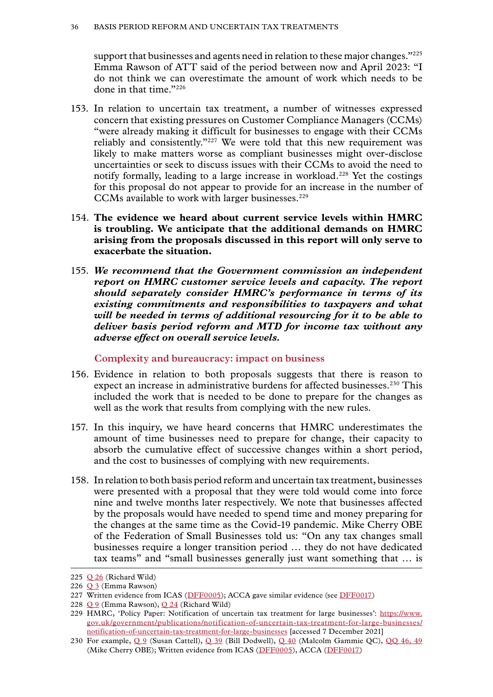<span id="page-37-0"></span>support that businesses and agents need in relation to these major changes."225 Emma Rawson of ATT said of the period between now and April 2023: "I do not think we can overestimate the amount of work which needs to be done in that time."226

- 153. In relation to uncertain tax treatment, a number of witnesses expressed concern that existing pressures on Customer Compliance Managers (CCMs) "were already making it difficult for businesses to engage with their CCMs reliably and consistently."227 We were told that this new requirement was likely to make matters worse as compliant businesses might over-disclose uncertainties or seek to discuss issues with their CCMs to avoid the need to notify formally, leading to a large increase in workload.<sup>228</sup> Yet the costings for this proposal do not appear to provide for an increase in the number of CCMs available to work with larger businesses.<sup>229</sup>
- 154. **The evidence we heard about current service levels within HMRC is troubling. We anticipate that the additional demands on HMRC arising from the proposals discussed in this report will only serve to exacerbate the situation.**
- 155. *We recommend that the Government commission an independent report on HMRC customer service levels and capacity. The report should separately consider HMRC's performance in terms of its existing commitments and responsibilities to taxpayers and what will be needed in terms of additional resourcing for it to be able to deliver basis period reform and MTD for income tax without any adverse effect on overall service levels.*

**Complexity and bureaucracy: impact on business**

- 156. Evidence in relation to both proposals suggests that there is reason to expect an increase in administrative burdens for affected businesses.230 This included the work that is needed to be done to prepare for the changes as well as the work that results from complying with the new rules.
- 157. In this inquiry, we have heard concerns that HMRC underestimates the amount of time businesses need to prepare for change, their capacity to absorb the cumulative effect of successive changes within a short period, and the cost to businesses of complying with new requirements.
- 158. In relation to both basis period reform and uncertain tax treatment, businesses were presented with a proposal that they were told would come into force nine and twelve months later respectively. We note that businesses affected by the proposals would have needed to spend time and money preparing for the changes at the same time as the Covid-19 pandemic. Mike Cherry OBE of the Federation of Small Businesses told us: "On any tax changes small businesses require a longer transition period … they do not have dedicated tax teams" and "small businesses generally just want something that … is

<sup>225</sup>  $Q$  26 (Richard Wild)

<sup>226</sup> [Q 3](https://committees.parliament.uk/oralevidence/2802/html/) (Emma Rawson)

<sup>227</sup> Written evidence from ICAS ([DFF0005\)](https://committees.parliament.uk/writtenevidence/39928/html/); ACCA gave similar evidence (see [DFF0017](https://committees.parliament.uk/writtenevidence/40368/html/))

<sup>228</sup> [Q 9](https://committees.parliament.uk/oralevidence/2802/html/) (Emma Rawson), [Q 24](https://committees.parliament.uk/oralevidence/2802/html/) (Richard Wild)

<sup>229</sup> HMRC, 'Policy Paper: Notification of uncertain tax treatment for large businesses': [https://www.](https://www.gov.uk/government/publications/notification-of-uncertain-tax-treatment-for-large-businesses/notification-of-uncertain-tax-treatment-for-large-businesses) [gov.uk/government/publications/notification-of-uncertain-tax-treatment-for-large-businesses/](https://www.gov.uk/government/publications/notification-of-uncertain-tax-treatment-for-large-businesses/notification-of-uncertain-tax-treatment-for-large-businesses) [notification-of-uncertain-tax-treatment-for-large-businesses](https://www.gov.uk/government/publications/notification-of-uncertain-tax-treatment-for-large-businesses/notification-of-uncertain-tax-treatment-for-large-businesses) [accessed 7 December 2021]

<sup>230</sup> For example, [Q 9](https://committees.parliament.uk/oralevidence/2802/html/) (Susan Cattell), [Q 39](https://committees.parliament.uk/oralevidence/2871/html/) (Bill Dodwell), [Q 40](https://committees.parliament.uk/oralevidence/2871/html/) (Malcolm Gammie QC), [QQ 46, 49](https://committees.parliament.uk/oralevidence/2872/html/) (Mike Cherry OBE); Written evidence from ICAS ([DFF0005](https://committees.parliament.uk/writtenevidence/39928/html/)), ACCA ([DFF0017](https://committees.parliament.uk/writtenevidence/40368/html/))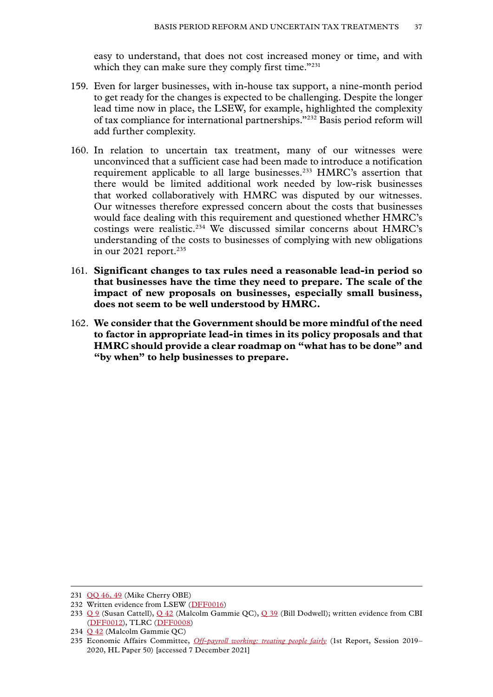easy to understand, that does not cost increased money or time, and with which they can make sure they comply first time."<sup>231</sup>

- 159. Even for larger businesses, with in-house tax support, a nine-month period to get ready for the changes is expected to be challenging. Despite the longer lead time now in place, the LSEW, for example, highlighted the complexity of tax compliance for international partnerships."232 Basis period reform will add further complexity.
- 160. In relation to uncertain tax treatment, many of our witnesses were unconvinced that a sufficient case had been made to introduce a notification requirement applicable to all large businesses.233 HMRC's assertion that there would be limited additional work needed by low-risk businesses that worked collaboratively with HMRC was disputed by our witnesses. Our witnesses therefore expressed concern about the costs that businesses would face dealing with this requirement and questioned whether HMRC's costings were realistic.234 We discussed similar concerns about HMRC's understanding of the costs to businesses of complying with new obligations in our 2021 report.<sup>235</sup>
- 161. **Significant changes to tax rules need a reasonable lead-in period so that businesses have the time they need to prepare. The scale of the impact of new proposals on businesses, especially small business, does not seem to be well understood by HMRC.**
- 162. **We consider that the Government should be more mindful of the need to factor in appropriate lead-in times in its policy proposals and that HMRC should provide a clear roadmap on "what has to be done" and "by when" to help businesses to prepare.**

<sup>231</sup> [QQ 46, 49](https://committees.parliament.uk/oralevidence/2872/html/) (Mike Cherry OBE)

<sup>232</sup> Written evidence from LSEW ([DFF0016](https://committees.parliament.uk/writtenevidence/40101/html/))

<sup>233</sup> [Q 9](https://committees.parliament.uk/oralevidence/2802/html/) (Susan Cattell), [Q 42](https://committees.parliament.uk/oralevidence/2871/html/) (Malcolm Gammie QC), [Q 39](https://committees.parliament.uk/oralevidence/2871/html/) (Bill Dodwell); written evidence from CBI ([DFF0012\)](https://committees.parliament.uk/writtenevidence/39956/html/), TLRC ([DFF0008\)](https://committees.parliament.uk/writtenevidence/39945/html/)

<sup>234</sup> [Q 42](https://committees.parliament.uk/oralevidence/2871/html/) (Malcolm Gammie QC)

<sup>235</sup> Economic Affairs Committee, *[Off-payroll working: treating people fairly](https://publications.parliament.uk/pa/ld5801/ldselect/ldeconaf/50/5002.htm)* (1st Report, Session 2019– 2020, HL Paper 50) [accessed 7 December 2021]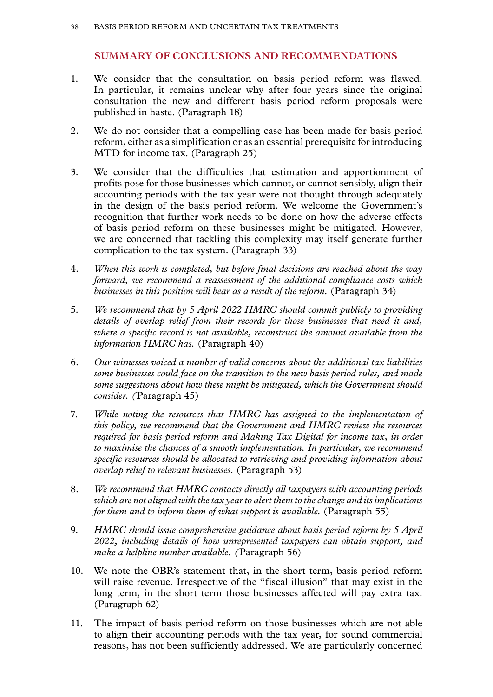#### **SUMMARY OF CONCLUSIONS AND RECOMMENDATIONS**

- <span id="page-39-0"></span>1. We consider that the consultation on basis period reform was flawed. In particular, it remains unclear why after four years since the original consultation the new and different basis period reform proposals were published in haste. (Paragraph 18)
- 2. We do not consider that a compelling case has been made for basis period reform, either as a simplification or as an essential prerequisite for introducing MTD for income tax. (Paragraph 25)
- 3. We consider that the difficulties that estimation and apportionment of profits pose for those businesses which cannot, or cannot sensibly, align their accounting periods with the tax year were not thought through adequately in the design of the basis period reform. We welcome the Government's recognition that further work needs to be done on how the adverse effects of basis period reform on these businesses might be mitigated. However, we are concerned that tackling this complexity may itself generate further complication to the tax system. (Paragraph 33)
- 4. *When this work is completed, but before final decisions are reached about the way forward, we recommend a reassessment of the additional compliance costs which businesses in this position will bear as a result of the reform.* (Paragraph 34)
- 5. *We recommend that by 5 April 2022 HMRC should commit publicly to providing details of overlap relief from their records for those businesses that need it and, where a specific record is not available, reconstruct the amount available from the information HMRC has.* (Paragraph 40)
- 6. *Our witnesses voiced a number of valid concerns about the additional tax liabilities some businesses could face on the transition to the new basis period rules, and made some suggestions about how these might be mitigated, which the Government should consider. (*Paragraph 45)
- 7. *While noting the resources that HMRC has assigned to the implementation of this policy, we recommend that the Government and HMRC review the resources required for basis period reform and Making Tax Digital for income tax, in order to maximise the chances of a smooth implementation. In particular, we recommend specific resources should be allocated to retrieving and providing information about overlap relief to relevant businesses.* (Paragraph 53)
- 8. *We recommend that HMRC contacts directly all taxpayers with accounting periods which are not aligned with the tax year to alert them to the change and its implications for them and to inform them of what support is available.* (Paragraph 55)
- 9. *HMRC should issue comprehensive guidance about basis period reform by 5 April 2022, including details of how unrepresented taxpayers can obtain support, and make a helpline number available. (*Paragraph 56)
- 10. We note the OBR's statement that, in the short term, basis period reform will raise revenue. Irrespective of the "fiscal illusion" that may exist in the long term, in the short term those businesses affected will pay extra tax. (Paragraph 62)
- 11. The impact of basis period reform on those businesses which are not able to align their accounting periods with the tax year, for sound commercial reasons, has not been sufficiently addressed. We are particularly concerned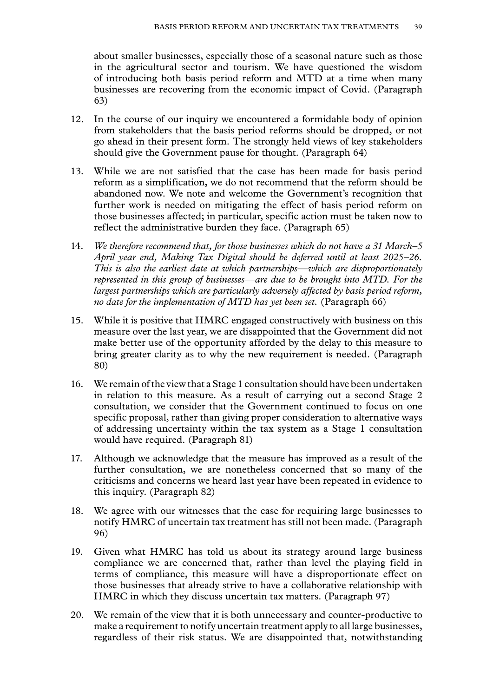about smaller businesses, especially those of a seasonal nature such as those in the agricultural sector and tourism. We have questioned the wisdom of introducing both basis period reform and MTD at a time when many businesses are recovering from the economic impact of Covid. (Paragraph 63)

- 12. In the course of our inquiry we encountered a formidable body of opinion from stakeholders that the basis period reforms should be dropped, or not go ahead in their present form. The strongly held views of key stakeholders should give the Government pause for thought. (Paragraph 64)
- 13. While we are not satisfied that the case has been made for basis period reform as a simplification, we do not recommend that the reform should be abandoned now. We note and welcome the Government's recognition that further work is needed on mitigating the effect of basis period reform on those businesses affected; in particular, specific action must be taken now to reflect the administrative burden they face. (Paragraph 65)
- 14. *We therefore recommend that, for those businesses which do not have a 31 March–5 April year end, Making Tax Digital should be deferred until at least 2025–26. This is also the earliest date at which partnerships—which are disproportionately represented in this group of businesses—are due to be brought into MTD. For the largest partnerships which are particularly adversely affected by basis period reform, no date for the implementation of MTD has yet been set.* (Paragraph 66)
- 15. While it is positive that HMRC engaged constructively with business on this measure over the last year, we are disappointed that the Government did not make better use of the opportunity afforded by the delay to this measure to bring greater clarity as to why the new requirement is needed. (Paragraph 80)
- 16. We remain of the view that a Stage 1 consultation should have been undertaken in relation to this measure. As a result of carrying out a second Stage 2 consultation, we consider that the Government continued to focus on one specific proposal, rather than giving proper consideration to alternative ways of addressing uncertainty within the tax system as a Stage 1 consultation would have required. (Paragraph 81)
- 17. Although we acknowledge that the measure has improved as a result of the further consultation, we are nonetheless concerned that so many of the criticisms and concerns we heard last year have been repeated in evidence to this inquiry. (Paragraph 82)
- 18. We agree with our witnesses that the case for requiring large businesses to notify HMRC of uncertain tax treatment has still not been made. (Paragraph 96)
- 19. Given what HMRC has told us about its strategy around large business compliance we are concerned that, rather than level the playing field in terms of compliance, this measure will have a disproportionate effect on those businesses that already strive to have a collaborative relationship with HMRC in which they discuss uncertain tax matters. (Paragraph 97)
- 20. We remain of the view that it is both unnecessary and counter-productive to make a requirement to notify uncertain treatment apply to all large businesses, regardless of their risk status. We are disappointed that, notwithstanding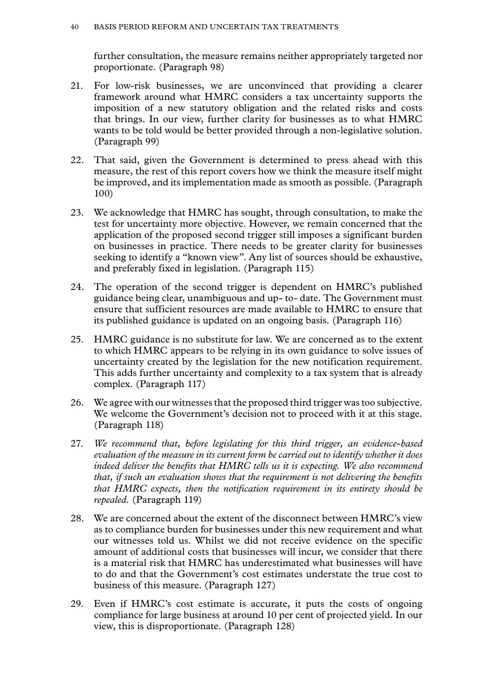further consultation, the measure remains neither appropriately targeted nor proportionate. (Paragraph 98)

- 21. For low-risk businesses, we are unconvinced that providing a clearer framework around what HMRC considers a tax uncertainty supports the imposition of a new statutory obligation and the related risks and costs that brings. In our view, further clarity for businesses as to what HMRC wants to be told would be better provided through a non-legislative solution. (Paragraph 99)
- 22. That said, given the Government is determined to press ahead with this measure, the rest of this report covers how we think the measure itself might be improved, and its implementation made as smooth as possible. (Paragraph 100)
- 23. We acknowledge that HMRC has sought, through consultation, to make the test for uncertainty more objective. However, we remain concerned that the application of the proposed second trigger still imposes a significant burden on businesses in practice. There needs to be greater clarity for businesses seeking to identify a "known view". Any list of sources should be exhaustive, and preferably fixed in legislation. (Paragraph 115)
- 24. The operation of the second trigger is dependent on HMRC's published guidance being clear, unambiguous and up- to- date. The Government must ensure that sufficient resources are made available to HMRC to ensure that its published guidance is updated on an ongoing basis. (Paragraph 116)
- 25. HMRC guidance is no substitute for law. We are concerned as to the extent to which HMRC appears to be relying in its own guidance to solve issues of uncertainty created by the legislation for the new notification requirement. This adds further uncertainty and complexity to a tax system that is already complex. (Paragraph 117)
- 26. We agree with our witnesses that the proposed third trigger was too subjective. We welcome the Government's decision not to proceed with it at this stage. (Paragraph 118)
- 27. *We recommend that, before legislating for this third trigger, an evidence-based evaluation of the measure in its current form be carried out to identify whether it does indeed deliver the benefits that HMRC tells us it is expecting. We also recommend that, if such an evaluation shows that the requirement is not delivering the benefits that HMRC expects, then the notification requirement in its entirety should be repealed.* (Paragraph 119)
- 28. We are concerned about the extent of the disconnect between HMRC's view as to compliance burden for businesses under this new requirement and what our witnesses told us. Whilst we did not receive evidence on the specific amount of additional costs that businesses will incur, we consider that there is a material risk that HMRC has underestimated what businesses will have to do and that the Government's cost estimates understate the true cost to business of this measure. (Paragraph 127)
- 29. Even if HMRC's cost estimate is accurate, it puts the costs of ongoing compliance for large business at around 10 per cent of projected yield. In our view, this is disproportionate. (Paragraph 128)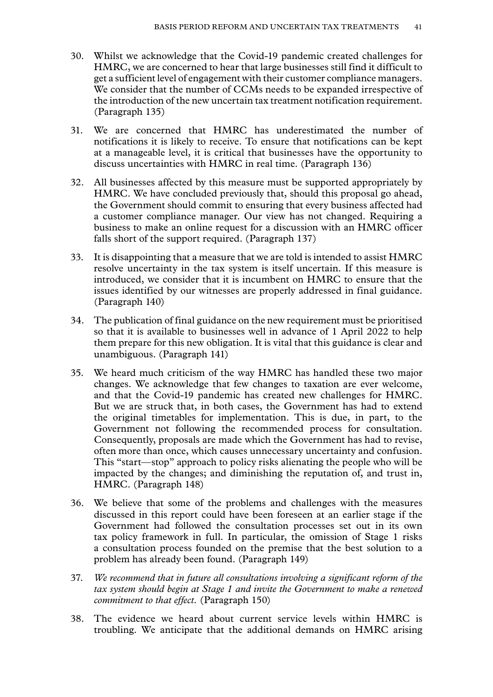- 30. Whilst we acknowledge that the Covid-19 pandemic created challenges for HMRC, we are concerned to hear that large businesses still find it difficult to get a sufficient level of engagement with their customer compliance managers. We consider that the number of CCMs needs to be expanded irrespective of the introduction of the new uncertain tax treatment notification requirement. (Paragraph 135)
- 31. We are concerned that HMRC has underestimated the number of notifications it is likely to receive. To ensure that notifications can be kept at a manageable level, it is critical that businesses have the opportunity to discuss uncertainties with HMRC in real time. (Paragraph 136)
- 32. All businesses affected by this measure must be supported appropriately by HMRC. We have concluded previously that, should this proposal go ahead, the Government should commit to ensuring that every business affected had a customer compliance manager. Our view has not changed. Requiring a business to make an online request for a discussion with an HMRC officer falls short of the support required. (Paragraph 137)
- 33. It is disappointing that a measure that we are told is intended to assist HMRC resolve uncertainty in the tax system is itself uncertain. If this measure is introduced, we consider that it is incumbent on HMRC to ensure that the issues identified by our witnesses are properly addressed in final guidance. (Paragraph 140)
- 34. The publication of final guidance on the new requirement must be prioritised so that it is available to businesses well in advance of 1 April 2022 to help them prepare for this new obligation. It is vital that this guidance is clear and unambiguous. (Paragraph 141)
- 35. We heard much criticism of the way HMRC has handled these two major changes. We acknowledge that few changes to taxation are ever welcome, and that the Covid-19 pandemic has created new challenges for HMRC. But we are struck that, in both cases, the Government has had to extend the original timetables for implementation. This is due, in part, to the Government not following the recommended process for consultation. Consequently, proposals are made which the Government has had to revise, often more than once, which causes unnecessary uncertainty and confusion. This "start—stop" approach to policy risks alienating the people who will be impacted by the changes; and diminishing the reputation of, and trust in, HMRC. (Paragraph 148)
- 36. We believe that some of the problems and challenges with the measures discussed in this report could have been foreseen at an earlier stage if the Government had followed the consultation processes set out in its own tax policy framework in full. In particular, the omission of Stage 1 risks a consultation process founded on the premise that the best solution to a problem has already been found. (Paragraph 149)
- 37. *We recommend that in future all consultations involving a significant reform of the tax system should begin at Stage 1 and invite the Government to make a renewed commitment to that effect.* (Paragraph 150)
- 38. The evidence we heard about current service levels within HMRC is troubling. We anticipate that the additional demands on HMRC arising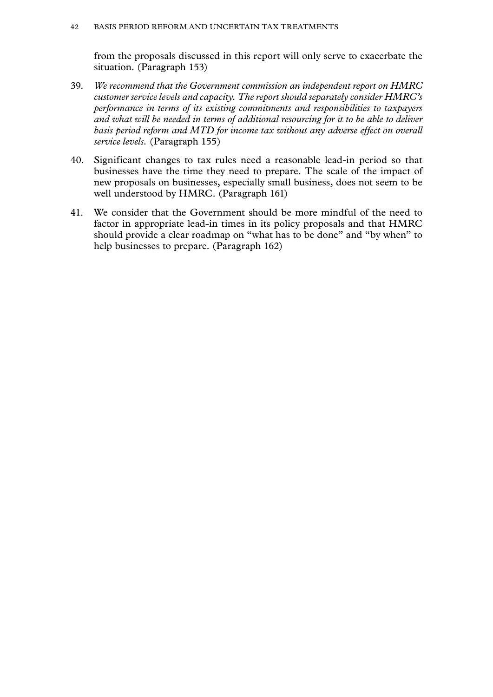from the proposals discussed in this report will only serve to exacerbate the situation. (Paragraph 153)

- 39. *We recommend that the Government commission an independent report on HMRC customer service levels and capacity. The report should separately consider HMRC's performance in terms of its existing commitments and responsibilities to taxpayers and what will be needed in terms of additional resourcing for it to be able to deliver basis period reform and MTD for income tax without any adverse effect on overall service levels.* (Paragraph 155)
- 40. Significant changes to tax rules need a reasonable lead-in period so that businesses have the time they need to prepare. The scale of the impact of new proposals on businesses, especially small business, does not seem to be well understood by HMRC. (Paragraph 161)
- 41. We consider that the Government should be more mindful of the need to factor in appropriate lead-in times in its policy proposals and that HMRC should provide a clear roadmap on "what has to be done" and "by when" to help businesses to prepare. (Paragraph 162)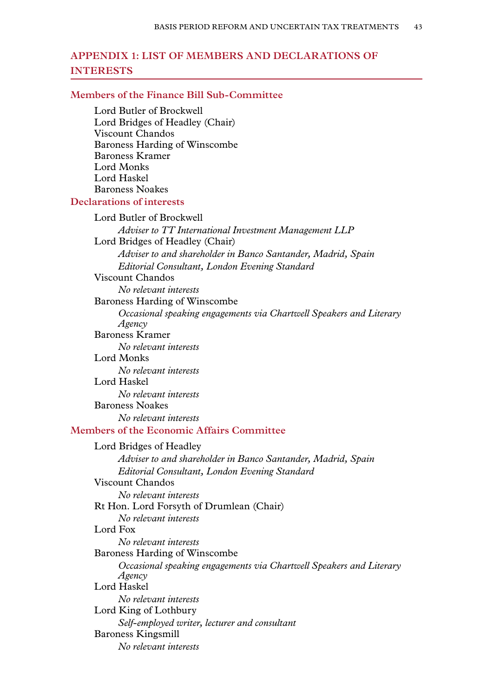# <span id="page-44-0"></span>**Appendix 1: LIST OF MEMBERS AND DECLARATIONS OF INTERESTS**

#### **Members of the Finance Bill Sub-Committee**

Lord Butler of Brockwell Lord Bridges of Headley (Chair) Viscount Chandos Baroness Harding of Winscombe Baroness Kramer Lord Monks Lord Haskel Baroness Noakes

#### **Declarations of interests**

Lord Butler of Brockwell *Adviser to TT International Investment Management LLP* Lord Bridges of Headley (Chair) *Adviser to and shareholder in Banco Santander, Madrid, Spain Editorial Consultant, London Evening Standard* Viscount Chandos *No relevant interests* Baroness Harding of Winscombe *Occasional speaking engagements via Chartwell Speakers and Literary Agency* Baroness Kramer *No relevant interests* Lord Monks *No relevant interests* Lord Haskel *No relevant interests* Baroness Noakes *No relevant interests* **Members of the Economic Affairs Committee** Lord Bridges of Headley *Adviser to and shareholder in Banco Santander, Madrid, Spain Editorial Consultant, London Evening Standard* Viscount Chandos *No relevant interests* Rt Hon. Lord Forsyth of Drumlean (Chair) *No relevant interests* Lord Fox *No relevant interests* Baroness Harding of Winscombe *Occasional speaking engagements via Chartwell Speakers and Literary Agency* Lord Haskel *No relevant interests* Lord King of Lothbury *Self-employed writer, lecturer and consultant* Baroness Kingsmill *No relevant interests*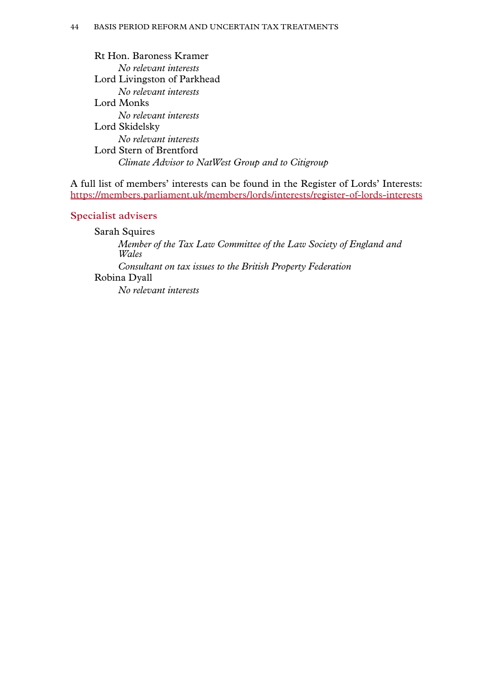Rt Hon. Baroness Kramer *No relevant interests* Lord Livingston of Parkhead *No relevant interests* Lord Monks *No relevant interests* Lord Skidelsky *No relevant interests* Lord Stern of Brentford *Climate Advisor to NatWest Group and to Citigroup*

A full list of members' interests can be found in the Register of Lords' Interests: <https://members.parliament.uk/members/lords/interests/register-of-lords-interests>

# **Specialist advisers**

Sarah Squires *Member of the Tax Law Committee of the Law Society of England and Wales Consultant on tax issues to the British Property Federation* Robina Dyall *No relevant interests*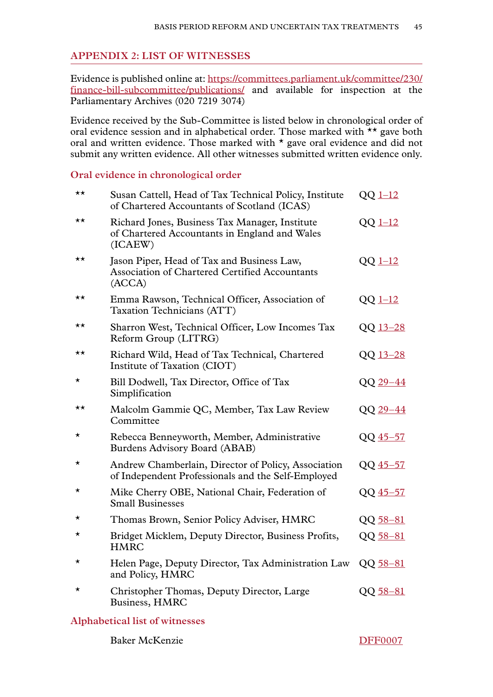# <span id="page-46-0"></span>**Appendix 2: LIST OF WITNESSES**

Evidence is published online at: [https://committees.parliament.uk/committee/230/](https://committees.parliament.uk/committee/230/finance-bill-subcommittee/publications/) [finance-bill-subcommittee/publications/](https://committees.parliament.uk/committee/230/finance-bill-subcommittee/publications/) and available for inspection at the Parliamentary Archives (020 7219 3074)

Evidence received by the Sub-Committee is listed below in chronological order of oral evidence session and in alphabetical order. Those marked with \*\* gave both oral and written evidence. Those marked with \* gave oral evidence and did not submit any written evidence. All other witnesses submitted written evidence only.

#### **Oral evidence in chronological order**

| ★★           | Susan Cattell, Head of Tax Technical Policy, Institute<br>of Chartered Accountants of Scotland (ICAS)      | $QQ$ <sub>1-12</sub> |
|--------------|------------------------------------------------------------------------------------------------------------|----------------------|
| ★★           | Richard Jones, Business Tax Manager, Institute<br>of Chartered Accountants in England and Wales<br>(ICAEW) | $QQ$ $1-12$          |
| $\star\star$ | Jason Piper, Head of Tax and Business Law,<br>Association of Chartered Certified Accountants<br>(ACCA)     | $QQ$ <sub>1-12</sub> |
| ★★           | Emma Rawson, Technical Officer, Association of<br>Taxation Technicians (ATT)                               | $QQ$ $1-12$          |
| ★★           | Sharron West, Technical Officer, Low Incomes Tax<br>Reform Group (LITRG)                                   | QQ 13-28             |
| ★★           | Richard Wild, Head of Tax Technical, Chartered<br>Institute of Taxation (CIOT)                             | QQ 13-28             |
| *            | Bill Dodwell, Tax Director, Office of Tax<br>Simplification                                                | QQ 29-44             |
| ★★           | Malcolm Gammie QC, Member, Tax Law Review<br>Committee                                                     | QQ 29-44             |
| $^\star$     | Rebecca Benneyworth, Member, Administrative<br>Burdens Advisory Board (ABAB)                               | QQ 45-57             |
| $^\star$     | Andrew Chamberlain, Director of Policy, Association<br>of Independent Professionals and the Self-Employed  | QQ 45-57             |
| $^\star$     | Mike Cherry OBE, National Chair, Federation of<br><b>Small Businesses</b>                                  | QQ 45-57             |
| *            | Thomas Brown, Senior Policy Adviser, HMRC                                                                  | $QQ$ 58-81           |
| $^\star$     | Bridget Micklem, Deputy Director, Business Profits,<br><b>HMRC</b>                                         | QQ 58-81             |
| $^\star$     | Helen Page, Deputy Director, Tax Administration Law<br>and Policy, HMRC                                    | QQ 58-81             |
| *            | Christopher Thomas, Deputy Director, Large<br>Business, HMRC                                               | QQ 58-81             |
|              |                                                                                                            |                      |

# **Alphabetical list of witnesses**

Baker McKenzie [DFF0007](https://committees.parliament.uk/writtenevidence/39938/html/)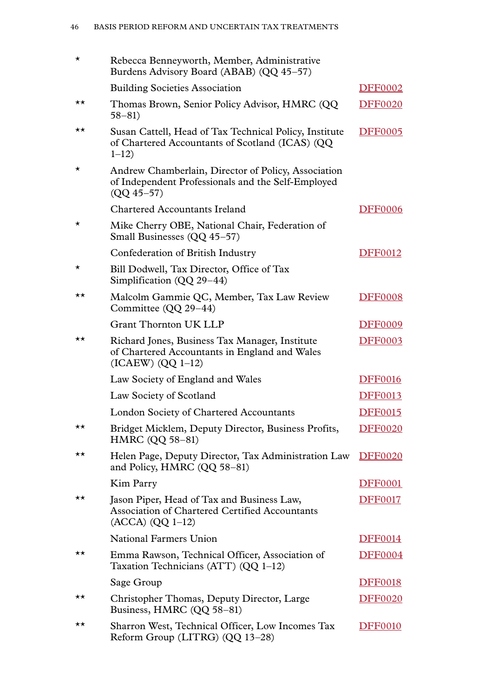| *       | Rebecca Benneyworth, Member, Administrative<br>Burdens Advisory Board (ABAB) (QQ 45-57)                                     |                |
|---------|-----------------------------------------------------------------------------------------------------------------------------|----------------|
|         | <b>Building Societies Association</b>                                                                                       | <b>DFF0002</b> |
| ★★      | Thomas Brown, Senior Policy Advisor, HMRC (QQ<br>$58 - 81$                                                                  | <b>DFF0020</b> |
| ★★      | Susan Cattell, Head of Tax Technical Policy, Institute<br>of Chartered Accountants of Scotland (ICAS) (QQ<br>$1 - 12$       | <b>DFF0005</b> |
| $\star$ | Andrew Chamberlain, Director of Policy, Association<br>of Independent Professionals and the Self-Employed<br>$(QQ 45 - 57)$ |                |
|         | Chartered Accountants Ireland                                                                                               | <b>DFF0006</b> |
| *       | Mike Cherry OBE, National Chair, Federation of<br>Small Businesses (QQ 45-57)                                               |                |
|         | Confederation of British Industry                                                                                           | <b>DFF0012</b> |
| *       | Bill Dodwell, Tax Director, Office of Tax<br>Simplification (QQ 29-44)                                                      |                |
| ★★      | Malcolm Gammie QC, Member, Tax Law Review<br>Committee (QQ 29-44)                                                           | <b>DFF0008</b> |
|         | <b>Grant Thornton UK LLP</b>                                                                                                | <b>DFF0009</b> |
| ★★      | Richard Jones, Business Tax Manager, Institute<br>of Chartered Accountants in England and Wales<br>$(ICAEW) (QQ 1-12)$      | <b>DFF0003</b> |
|         | Law Society of England and Wales                                                                                            | <b>DFF0016</b> |
|         | Law Society of Scotland                                                                                                     | <b>DFF0013</b> |
|         | London Society of Chartered Accountants                                                                                     | <b>DFF0015</b> |
| ★★      | Bridget Micklem, Deputy Director, Business Profits,<br><b>HMRC (QQ 58-81)</b>                                               | <b>DFF0020</b> |
| ★★      | Helen Page, Deputy Director, Tax Administration Law<br>and Policy, HMRC (QQ 58-81)                                          | <b>DFF0020</b> |
|         | Kim Parry                                                                                                                   | <b>DFF0001</b> |
| ★★      | Jason Piper, Head of Tax and Business Law,<br>Association of Chartered Certified Accountants<br>$(ACCA) (QQ 1-12)$          | <b>DFF0017</b> |
|         | <b>National Farmers Union</b>                                                                                               | <b>DFF0014</b> |
| ★★      | Emma Rawson, Technical Officer, Association of<br>Taxation Technicians (ATT) (QQ 1-12)                                      | <b>DFF0004</b> |
|         | Sage Group                                                                                                                  | <b>DFF0018</b> |
| ★★      | Christopher Thomas, Deputy Director, Large<br>Business, HMRC (QQ 58-81)                                                     | <b>DFF0020</b> |
| ★★      | Sharron West, Technical Officer, Low Incomes Tax<br>Reform Group (LITRG) (QQ 13-28)                                         | <b>DFF0010</b> |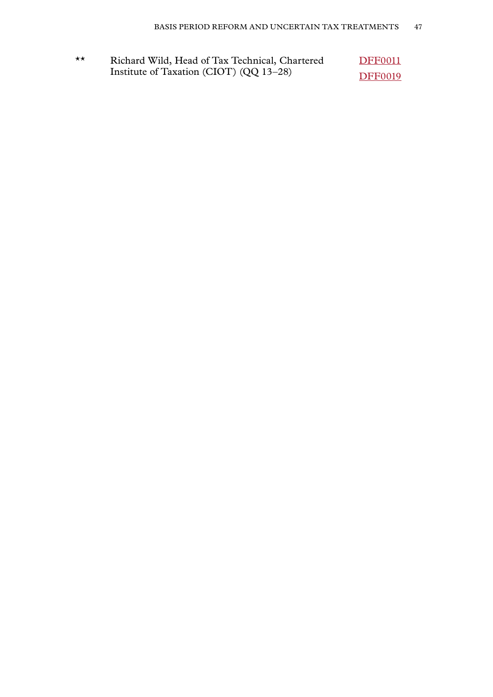| $\star\star$ | Richard Wild, Head of Tax Technical, Chartered | <b>DFF0011</b> |
|--------------|------------------------------------------------|----------------|
|              | Institute of Taxation (CIOT) (QQ 13-28)        | <b>DFF0019</b> |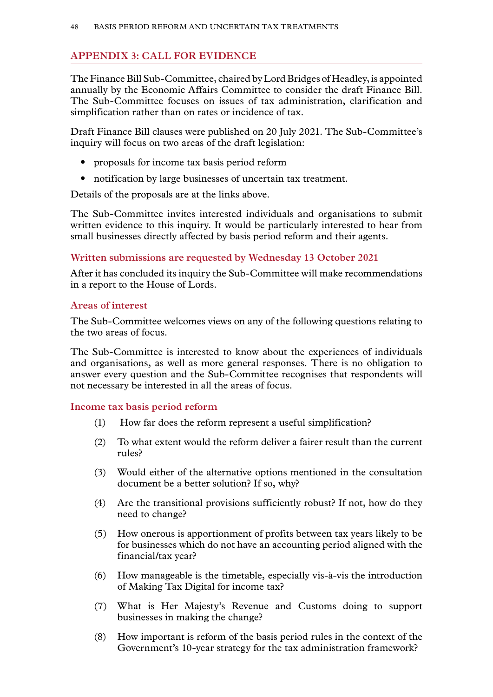# <span id="page-49-0"></span>**Appendix 3: CALL FOR EVIDENCE**

The Finance Bill Sub-Committee, chaired by Lord Bridges of Headley, is appointed annually by the Economic Affairs Committee to consider the draft Finance Bill. The Sub-Committee focuses on issues of tax administration, clarification and simplification rather than on rates or incidence of tax.

Draft Finance Bill clauses were published on 20 July 2021. The Sub-Committee's inquiry will focus on two areas of the draft legislation:

- proposals for income tax basis period reform
- notification by large businesses of uncertain tax treatment.

Details of the proposals are at the links above.

The Sub-Committee invites interested individuals and organisations to submit written evidence to this inquiry. It would be particularly interested to hear from small businesses directly affected by basis period reform and their agents.

#### **Written submissions are requested by Wednesday 13 October 2021**

After it has concluded its inquiry the Sub-Committee will make recommendations in a report to the House of Lords.

#### **Areas of interest**

The Sub-Committee welcomes views on any of the following questions relating to the two areas of focus.

The Sub-Committee is interested to know about the experiences of individuals and organisations, as well as more general responses. There is no obligation to answer every question and the Sub-Committee recognises that respondents will not necessary be interested in all the areas of focus.

#### **Income tax basis period reform**

- (1) How far does the reform represent a useful simplification?
- (2) To what extent would the reform deliver a fairer result than the current rules?
- (3) Would either of the alternative options mentioned in the consultation document be a better solution? If so, why?
- (4) Are the transitional provisions sufficiently robust? If not, how do they need to change?
- (5) How onerous is apportionment of profits between tax years likely to be for businesses which do not have an accounting period aligned with the financial/tax year?
- (6) How manageable is the timetable, especially vis-à-vis the introduction of Making Tax Digital for income tax?
- (7) What is Her Majesty's Revenue and Customs doing to support businesses in making the change?
- (8) How important is reform of the basis period rules in the context of the Government's 10-year strategy for the tax administration framework?